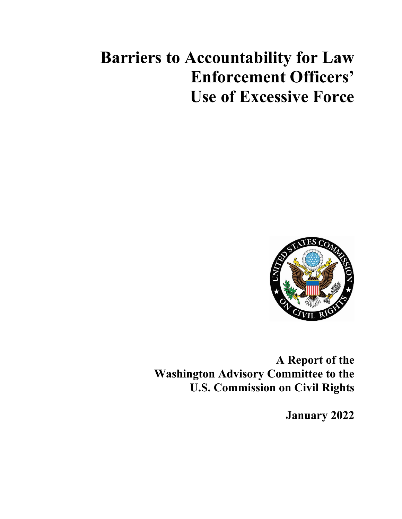# **Barriers to Accountability for Law Enforcement Officers' Use of Excessive Force**



**A Report of the Washington Advisory Committee to the U.S. Commission on Civil Rights**

**January 2022**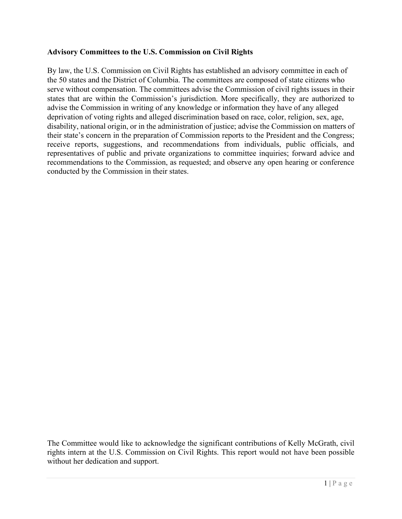#### **Advisory Committees to the U.S. Commission on Civil Rights**

By law, the U.S. Commission on Civil Rights has established an advisory committee in each of the 50 states and the District of Columbia. The committees are composed of state citizens who serve without compensation. The committees advise the Commission of civil rights issues in their states that are within the Commission's jurisdiction. More specifically, they are authorized to advise the Commission in writing of any knowledge or information they have of any alleged deprivation of voting rights and alleged discrimination based on race, color, religion, sex, age, disability, national origin, or in the administration of justice; advise the Commission on matters of their state's concern in the preparation of Commission reports to the President and the Congress; receive reports, suggestions, and recommendations from individuals, public officials, and representatives of public and private organizations to committee inquiries; forward advice and recommendations to the Commission, as requested; and observe any open hearing or conference conducted by the Commission in their states.

The Committee would like to acknowledge the significant contributions of Kelly McGrath, civil rights intern at the U.S. Commission on Civil Rights. This report would not have been possible without her dedication and support.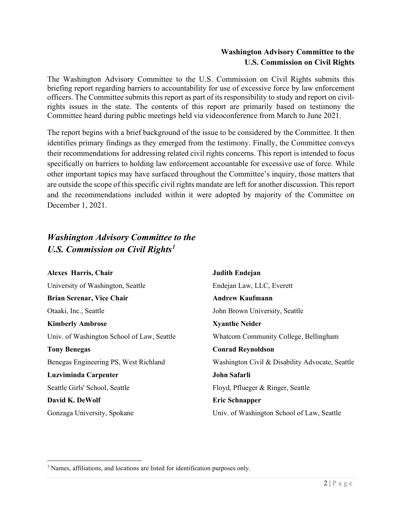#### **Washington Advisory Committee to the U.S. Commission on Civil Rights**

The Washington Advisory Committee to the U.S. Commission on Civil Rights submits this briefing report regarding barriers to accountability for use of excessive force by law enforcement officers. The Committee submits this report as part of its responsibility to study and report on civilrights issues in the state. The contents of this report are primarily based on testimony the Committee heard during public meetings held via videoconference from March to June 2021.

The report begins with a brief background of the issue to be considered by the Committee. It then identifies primary findings as they emerged from the testimony. Finally, the Committee conveys their recommendations for addressing related civil rights concerns. This report is intended to focus specifically on barriers to holding law enforcement accountable for excessive use of force. While other important topics may have surfaced throughout the Committee's inquiry, those matters that are outside the scope of this specific civil rights mandate are left for another discussion. This report and the recommendations included within it were adopted by majority of the Committee on December 1, 2021.

### *Washington Advisory Committee to the U.S. Commission on Civil Rights[1](#page-2-0)*

| <b>Alexes Harris, Chair</b>                | <b>Judith Endejan</b>                           |
|--------------------------------------------|-------------------------------------------------|
| University of Washington, Seattle          | Endejan Law, LLC, Everett                       |
| Brian Screnar, Vice Chair                  | <b>Andrew Kaufmann</b>                          |
| Otaaki, Inc., Seattle                      | John Brown University, Seattle                  |
| <b>Kimberly Ambrose</b>                    | <b>Xyanthe Neider</b>                           |
| Univ. of Washington School of Law, Seattle | Whatcom Community College, Bellingham           |
| <b>Tony Benegas</b>                        | <b>Conrad Reynoldson</b>                        |
| Benegas Engineering PS, West Richland      | Washington Civil & Disability Advocate, Seattle |
| Luzviminda Carpenter                       | John Safarli                                    |
| Seattle Girls' School, Seattle             | Floyd, Pflueger & Ringer, Seattle               |
| David K. DeWolf                            | <b>Eric Schnapper</b>                           |
| Gonzaga University, Spokane                | Univ. of Washington School of Law, Seattle      |

<span id="page-2-0"></span><sup>&</sup>lt;sup>1</sup> Names, affiliations, and locations are listed for identification purposes only.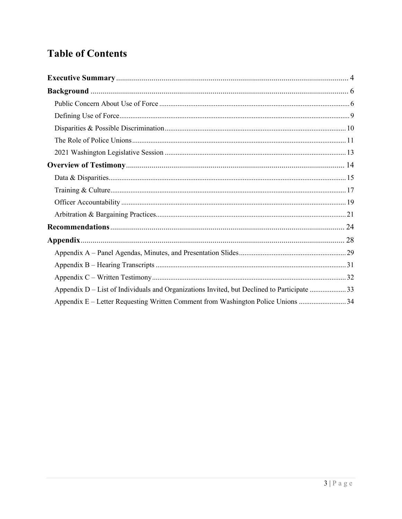## **Table of Contents**

| Appendix D – List of Individuals and Organizations Invited, but Declined to Participate 33 |  |
|--------------------------------------------------------------------------------------------|--|
| Appendix E – Letter Requesting Written Comment from Washington Police Unions 34            |  |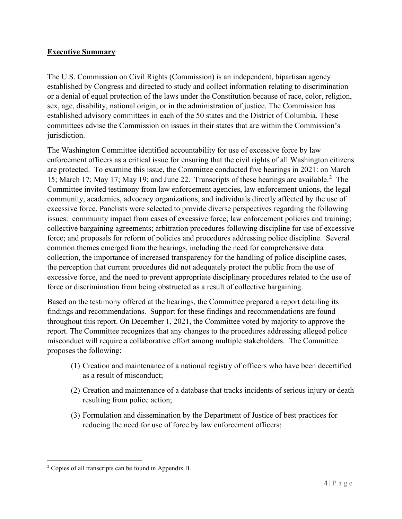#### <span id="page-4-0"></span>**Executive Summary**

The U.S. Commission on Civil Rights (Commission) is an independent, bipartisan agency established by Congress and directed to study and collect information relating to discrimination or a denial of equal protection of the laws under the Constitution because of race, color, religion, sex, age, disability, national origin, or in the administration of justice. The Commission has established advisory committees in each of the 50 states and the District of Columbia. These committees advise the Commission on issues in their states that are within the Commission's jurisdiction.

The Washington Committee identified accountability for use of excessive force by law enforcement officers as a critical issue for ensuring that the civil rights of all Washington citizens are protected. To examine this issue, the Committee conducted five hearings in 2021: on March 15; March 17; May 17; May 19; and June [2](#page-4-1)2. Transcripts of these hearings are available.<sup>2</sup> The Committee invited testimony from law enforcement agencies, law enforcement unions, the legal community, academics, advocacy organizations, and individuals directly affected by the use of excessive force. Panelists were selected to provide diverse perspectives regarding the following issues: community impact from cases of excessive force; law enforcement policies and training; collective bargaining agreements; arbitration procedures following discipline for use of excessive force; and proposals for reform of policies and procedures addressing police discipline. Several common themes emerged from the hearings, including the need for comprehensive data collection, the importance of increased transparency for the handling of police discipline cases, the perception that current procedures did not adequately protect the public from the use of excessive force, and the need to prevent appropriate disciplinary procedures related to the use of force or discrimination from being obstructed as a result of collective bargaining.

Based on the testimony offered at the hearings, the Committee prepared a report detailing its findings and recommendations. Support for these findings and recommendations are found throughout this report. On December 1, 2021, the Committee voted by majority to approve the report. The Committee recognizes that any changes to the procedures addressing alleged police misconduct will require a collaborative effort among multiple stakeholders. The Committee proposes the following:

- (1) Creation and maintenance of a national registry of officers who have been decertified as a result of misconduct;
- (2) Creation and maintenance of a database that tracks incidents of serious injury or death resulting from police action;
- (3) Formulation and dissemination by the Department of Justice of best practices for reducing the need for use of force by law enforcement officers;

<span id="page-4-1"></span><sup>2</sup> Copies of all transcripts can be found in Appendix B.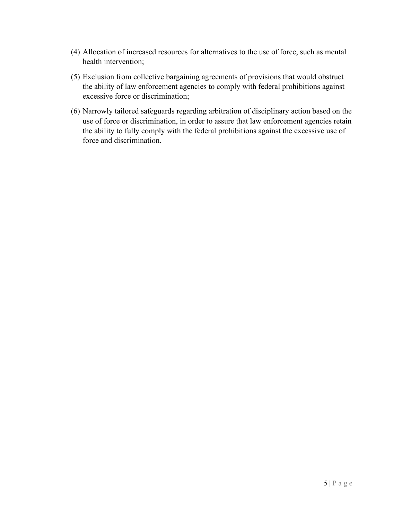- (4) Allocation of increased resources for alternatives to the use of force, such as mental health intervention;
- (5) Exclusion from collective bargaining agreements of provisions that would obstruct the ability of law enforcement agencies to comply with federal prohibitions against excessive force or discrimination;
- (6) Narrowly tailored safeguards regarding arbitration of disciplinary action based on the use of force or discrimination, in order to assure that law enforcement agencies retain the ability to fully comply with the federal prohibitions against the excessive use of force and discrimination.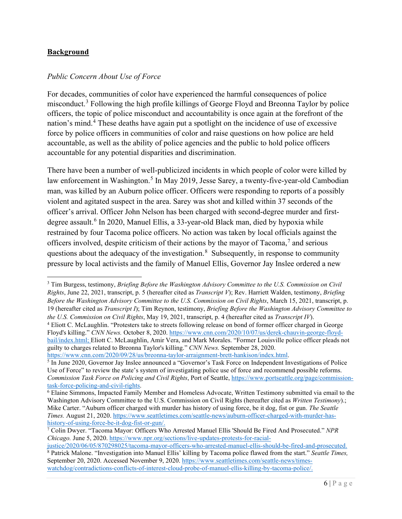#### <span id="page-6-0"></span>**Background**

#### <span id="page-6-1"></span>*Public Concern About Use of Force*

For decades, communities of color have experienced the harmful consequences of police misconduct.[3](#page-6-2) Following the high profile killings of George Floyd and Breonna Taylor by police officers, the topic of police misconduct and accountability is once again at the forefront of the nation's mind.<sup>[4](#page-6-3)</sup> These deaths have again put a spotlight on the incidence of use of excessive force by police officers in communities of color and raise questions on how police are held accountable, as well as the ability of police agencies and the public to hold police officers accountable for any potential disparities and discrimination.

There have been a number of well-publicized incidents in which people of color were killed by law enforcement in Washington.<sup>[5](#page-6-4)</sup> In May 2019, Jesse Sarey, a twenty-five-year-old Cambodian man, was killed by an Auburn police officer. Officers were responding to reports of a possibly violent and agitated suspect in the area. Sarey was shot and killed within 37 seconds of the officer's arrival. Officer John Nelson has been charged with second-degree murder and first-degree assault.<sup>[6](#page-6-5)</sup> In 2020, Manuel Ellis, a 33-year-old Black man, died by hypoxia while restrained by four Tacoma police officers. No action was taken by local officials against the officers involved, despite criticism of their actions by the mayor of Tacoma,<sup>[7](#page-6-6)</sup> and serious questions about the adequacy of the investigation.<sup>[8](#page-6-7)</sup> Subsequently, in response to community pressure by local activists and the family of Manuel Ellis, Governor Jay Inslee ordered a new

<span id="page-6-2"></span><sup>3</sup> Tim Burgess, testimony, *Briefing Before the Washington Advisory Committee to the U.S. Commission on Civil Rights*, June 22, 2021, transcript, p. 5 (hereafter cited as *Transcript V*); Rev. Harriett Walden, testimony, *Briefing Before the Washington Advisory Committee to the U.S. Commission on Civil Rights*, March 15, 2021, transcript, p. 19 (hereafter cited as *Transcript I*); Tim Reynon, testimony, *Briefing Before the Washington Advisory Committee to the U.S. Commission on Civil Rights*, May 19, 2021, transcript, p. 4 (hereafter cited as *Transcript IV*).

<span id="page-6-3"></span><sup>4</sup> Eliott C. McLaughlin. "Protesters take to streets following release on bond of former officer charged in George Floyd's killing." *CNN News.* October 8, 2020. [https://www.cnn.com/2020/10/07/us/derek-chauvin-george-floyd](https://www.cnn.com/2020/10/07/us/derek-chauvin-george-floyd-bail/index.html)[bail/index.html;](https://www.cnn.com/2020/10/07/us/derek-chauvin-george-floyd-bail/index.html) Eliott C. McLaughlin, Amir Vera, and Mark Morales. "Former Louisville police officer pleads not guilty to charges related to Breonna Taylor's killing." *CNN News.* September 28, 2020.

[https://www.cnn.com/2020/09/28/us/breonna-taylor-arraignment-brett-hankison/index.html.](https://www.cnn.com/2020/09/28/us/breonna-taylor-arraignment-brett-hankison/index.html)

<span id="page-6-4"></span><sup>5</sup> In June 2020, Governor Jay Inslee announced a "Governor's Task Force on Independent Investigations of Police Use of Force" to review the state's system of investigating police use of force and recommend possible reforms. *Commission Task Force on Policing and Civil Rights*, Port of Seattle, https://www.portseattle.org/page/commission-<br>task-force-policing-and-civil-rights.

<span id="page-6-5"></span> $6$  Elaine Simmons, Impacted Family Member and Homeless Advocate, Written Testimony submitted via email to the Washington Advisory Committee to the U.S. Commission on Civil Rights (hereafter cited as *Written Testimony*).; Mike Carter. "Auburn officer charged with murder has history of using force, be it dog, fist or gun. *The Seattle Times.* August 21, 2020. [https://www.seattletimes.com/seattle-news/auburn-officer-charged-with-murder-has](https://www.seattletimes.com/seattle-news/auburn-officer-charged-with-murder-has-history-of-using-force-be-it-dog-fist-or-gun/)[history-of-using-force-be-it-dog-fist-or-gun/.](https://www.seattletimes.com/seattle-news/auburn-officer-charged-with-murder-has-history-of-using-force-be-it-dog-fist-or-gun/)

<span id="page-6-6"></span><sup>7</sup> Colin Dwyer. "Tacoma Mayor: Officers Who Arrested Manuel Ellis 'Should Be Fired And Prosecuted." *NPR Chicago.* June 5, 2020[. https://www.npr.org/sections/live-updates-protests-for-racial-](https://www.npr.org/sections/live-updates-protests-for-racial-justice/2020/06/05/870298025/tacoma-mayor-officers-who-arrested-manuel-ellis-should-be-fired-and-prosecuted)

<span id="page-6-7"></span>[justice/2020/06/05/870298025/tacoma-mayor-officers-who-arrested-manuel-ellis-should-be-fired-and-prosecuted.](https://www.npr.org/sections/live-updates-protests-for-racial-justice/2020/06/05/870298025/tacoma-mayor-officers-who-arrested-manuel-ellis-should-be-fired-and-prosecuted) <sup>8</sup> Patrick Malone. "Investigation into Manuel Ellis' killing by Tacoma police flawed from the start." *Seattle Times,*  September 20, 2020. Accessed November 9, 2020. [https://www.seattletimes.com/seattle-news/times](https://www.seattletimes.com/seattle-news/times-watchdog/contradictions-conflicts-of-interest-cloud-probe-of-manuel-ellis-killing-by-tacoma-police/)[watchdog/contradictions-conflicts-of-interest-cloud-probe-of-manuel-ellis-killing-by-tacoma-police/.](https://www.seattletimes.com/seattle-news/times-watchdog/contradictions-conflicts-of-interest-cloud-probe-of-manuel-ellis-killing-by-tacoma-police/)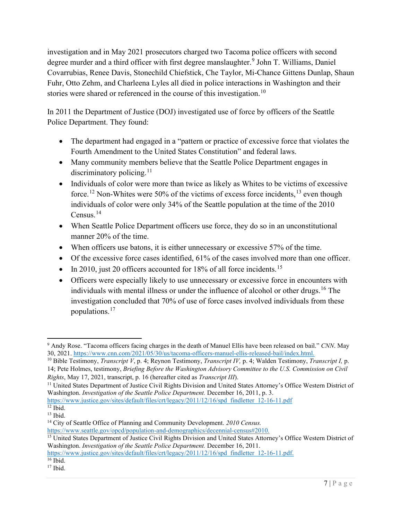investigation and in May 2021 prosecutors charged two Tacoma police officers with second degree murder and a third officer with first degree manslaughter.<sup>[9](#page-7-0)</sup> John T. Williams, Daniel Covarrubias, Renee Davis, Stonechild Chiefstick, Che Taylor, Mi-Chance Gittens Dunlap, Shaun Fuhr, Otto Zehm, and Charleena Lyles all died in police interactions in Washington and their stories were shared or referenced in the course of this investigation.<sup>[10](#page-7-1)</sup>

In 2011 the Department of Justice (DOJ) investigated use of force by officers of the Seattle Police Department. They found:

- The department had engaged in a "pattern or practice of excessive force that violates the Fourth Amendment to the United States Constitution" and federal laws.
- Many community members believe that the Seattle Police Department engages in discriminatory policing.<sup>[11](#page-7-2)</sup>
- Individuals of color were more than twice as likely as Whites to be victims of excessive force.<sup>[12](#page-7-3)</sup> Non-Whites were 50% of the victims of excess force incidents,<sup>[13](#page-7-4)</sup> even though individuals of color were only 34% of the Seattle population at the time of the 2010 Census.[14](#page-7-5)
- When Seattle Police Department officers use force, they do so in an unconstitutional manner 20% of the time.
- When officers use batons, it is either unnecessary or excessive 57% of the time.
- Of the excessive force cases identified, 61% of the cases involved more than one officer.
- In 2010, just 20 officers accounted for  $18\%$  of all force incidents.<sup>[15](#page-7-6)</sup>
- Officers were especially likely to use unnecessary or excessive force in encounters with individuals with mental illness or under the influence of alcohol or other drugs.<sup>[16](#page-7-7)</sup> The investigation concluded that 70% of use of force cases involved individuals from these populations.[17](#page-7-8)

<span id="page-7-0"></span><sup>9</sup> Andy Rose. "Tacoma officers facing charges in the death of Manuel Ellis have been released on bail." *CNN*. May 30, 2021. [https://www.cnn.com/2021/05/30/us/tacoma-officers-manuel-ellis-released-bail/index.html.](https://www.cnn.com/2021/05/30/us/tacoma-officers-manuel-ellis-released-bail/index.html)

<span id="page-7-1"></span><sup>10</sup> Bible Testimony, *Transcript V*, p. 4; Reynon Testimony, *Transcript IV,* p. 4; Walden Testimony, *Transcript I,* p. 14; Pete Holmes, testimony, *Briefing Before the Washington Advisory Committee to the U.S. Commission on Civil Rights*, May 17, 2021, transcript, p. 16 (hereafter cited as *Transcript III*).

<span id="page-7-2"></span><sup>&</sup>lt;sup>11</sup> United States Department of Justice Civil Rights Division and United States Attorney's Office Western District of Washington. *Investigation of the Seattle Police Department.* December 16, 2011, p. 3.

<span id="page-7-3"></span>[https://www.justice.gov/sites/default/files/crt/legacy/2011/12/16/spd\\_findletter\\_12-16-11.pdf](https://www.justice.gov/sites/default/files/crt/legacy/2011/12/16/spd_findletter_12-16-11.pdf)<br>
<sup>12</sup> Ibid.

<span id="page-7-4"></span> $13$  Ibid.

<span id="page-7-5"></span><sup>14</sup> City of Seattle Office of Planning and Community Development. *2010 Census.*

[https://www.seattle.gov/opcd/population-and-demographics/decennial-census#2010.](https://www.seattle.gov/opcd/population-and-demographics/decennial-census#2010)

<span id="page-7-6"></span><sup>&</sup>lt;sup>15</sup> United States Department of Justice Civil Rights Division and United States Attorney's Office Western District of Washington. *Investigation of the Seattle Police Department.* December 16, 2011.

<span id="page-7-7"></span>[https://www.justice.gov/sites/default/files/crt/legacy/2011/12/16/spd\\_findletter\\_12-16-11.pdf.](https://www.justice.gov/sites/default/files/crt/legacy/2011/12/16/spd_findletter_12-16-11.pdf)<br><sup>16</sup> Ibid.

<span id="page-7-8"></span> $17$  Ibid.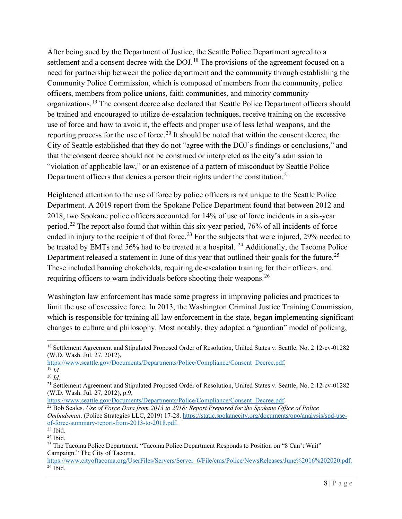After being sued by the Department of Justice, the Seattle Police Department agreed to a settlement and a consent decree with the DOJ.<sup>[18](#page-8-0)</sup> The provisions of the agreement focused on a need for partnership between the police department and the community through establishing the Community Police Commission, which is composed of members from the community, police officers, members from police unions, faith communities, and minority community organizations.[19](#page-8-1) The consent decree also declared that Seattle Police Department officers should be trained and encouraged to utilize de-escalation techniques, receive training on the excessive use of force and how to avoid it, the effects and proper use of less lethal weapons, and the reporting process for the use of force.<sup>[20](#page-8-2)</sup> It should be noted that within the consent decree, the City of Seattle established that they do not "agree with the DOJ's findings or conclusions," and that the consent decree should not be construed or interpreted as the city's admission to "violation of applicable law," or an existence of a pattern of misconduct by Seattle Police Department officers that denies a person their rights under the constitution.<sup>[21](#page-8-3)</sup>

Heightened attention to the use of force by police officers is not unique to the Seattle Police Department. A 2019 report from the Spokane Police Department found that between 2012 and 2018, two Spokane police officers accounted for 14% of use of force incidents in a six-year period.[22](#page-8-4) The report also found that within this six-year period, 76% of all incidents of force ended in injury to the recipient of that force.<sup>[23](#page-8-5)</sup> For the subjects that were injured, 29% needed to be treated by EMTs and 56% had to be treated at a hospital. <sup>[24](#page-8-6)</sup> Additionally, the Tacoma Police Department released a statement in June of this year that outlined their goals for the future.<sup>[25](#page-8-7)</sup> These included banning chokeholds, requiring de-escalation training for their officers, and requiring officers to warn individuals before shooting their weapons.<sup>[26](#page-8-8)</sup>

Washington law enforcement has made some progress in improving policies and practices to limit the use of excessive force. In 2013, the Washington Criminal Justice Training Commission, which is responsible for training all law enforcement in the state, began implementing significant changes to culture and philosophy. Most notably, they adopted a "guardian" model of policing,

<span id="page-8-0"></span><sup>&</sup>lt;sup>18</sup> Settlement Agreement and Stipulated Proposed Order of Resolution, United States v. Seattle, No. 2:12-cv-01282 (W.D. Wash. Jul. 27, 2012),

[https://www.seattle.gov/Documents/Departments/Police/Compliance/Consent\\_Decree.pdf.](https://www.seattle.gov/Documents/Departments/Police/Compliance/Consent_Decree.pdf) 19 *Id.*

<span id="page-8-2"></span><span id="page-8-1"></span><sup>20</sup> *Id.*

<span id="page-8-3"></span><sup>&</sup>lt;sup>21</sup> Settlement Agreement and Stipulated Proposed Order of Resolution, United States v. Seattle, No. 2:12-cv-01282 (W.D. Wash. Jul. 27, 2012), p.9,

[https://www.seattle.gov/Documents/Departments/Police/Compliance/Consent\\_Decree.pdf.](https://www.seattle.gov/Documents/Departments/Police/Compliance/Consent_Decree.pdf)

<span id="page-8-4"></span><sup>&</sup>lt;sup>22</sup> Bob Scales. *Use of Force Data from 2013 to 2018: Report Prepared for the Spokane Office of Police Ombudsman*. (Police Strategies LLC, 2019) 17-28. [https://static.spokanecity.org/documents/opo/analysis/spd-use](https://static.spokanecity.org/documents/opo/analysis/spd-use-of-force-summary-report-from-2013-to-2018.pdf)[of-force-summary-report-from-2013-to-2018.pdf.](https://static.spokanecity.org/documents/opo/analysis/spd-use-of-force-summary-report-from-2013-to-2018.pdf)<br>
<sup>23</sup> Ibid.

<span id="page-8-5"></span>

<span id="page-8-6"></span> $24$  Ibid.

<span id="page-8-7"></span><sup>&</sup>lt;sup>25</sup> The Tacoma Police Department. "Tacoma Police Department Responds to Position on "8 Can't Wait" Campaign." The City of Tacoma.

<span id="page-8-8"></span>[https://www.cityoftacoma.org/UserFiles/Servers/Server\\_6/File/cms/Police/NewsReleases/June%2016%202020.pdf.](https://www.cityoftacoma.org/UserFiles/Servers/Server_6/File/cms/Police/NewsReleases/June%2016%202020.pdf)  $26$  Ibid.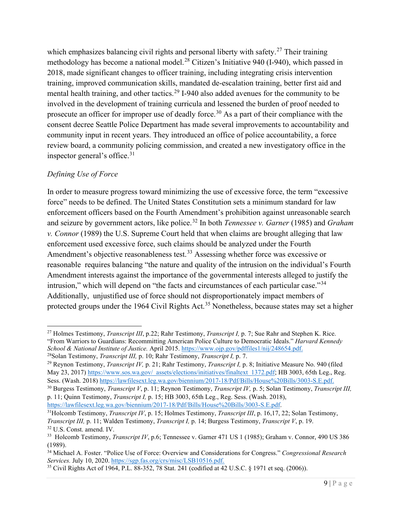which emphasizes balancing civil rights and personal liberty with safety.<sup>[27](#page-9-1)</sup> Their training methodology has become a national model.<sup>[28](#page-9-2)</sup> Citizen's Initiative 940 (I-940), which passed in 2018, made significant changes to officer training, including integrating crisis intervention training, improved communication skills, mandated de-escalation training, better first aid and mental health training, and other tactics.<sup>[29](#page-9-3)</sup> I-940 also added avenues for the community to be involved in the development of training curricula and lessened the burden of proof needed to prosecute an officer for improper use of deadly force.<sup>[30](#page-9-4)</sup> As a part of their compliance with the consent decree Seattle Police Department has made several improvements to accountability and community input in recent years. They introduced an office of police accountability, a force review board, a community policing commission, and created a new investigatory office in the inspector general's office.<sup>[31](#page-9-5)</sup>

#### <span id="page-9-0"></span>*Defining Use of Force*

In order to measure progress toward minimizing the use of excessive force, the term "excessive force" needs to be defined. The United States Constitution sets a minimum standard for law enforcement officers based on the Fourth Amendment's prohibition against unreasonable search and seizure by government actors, like police.[32](#page-9-6) In both *Tennessee v. Garner* (1985) and *Graham v. Connor* (1989) the U.S. Supreme Court held that when claims are brought alleging that law enforcement used excessive force, such claims should be analyzed under the Fourth Amendment's objective reasonableness test.<sup>[33](#page-9-7)</sup> Assessing whether force was excessive or reasonable requires balancing "the nature and quality of the intrusion on the individual's Fourth Amendment interests against the importance of the governmental interests alleged to justify the intrusion," which will depend on "the facts and circumstances of each particular case."[34](#page-9-8) Additionally, unjustified use of force should not disproportionately impact members of protected groups under the 1964 Civil Rights Act.<sup>[35](#page-9-9)</sup> Nonetheless, because states may set a higher

<span id="page-9-3"></span><span id="page-9-2"></span><sup>29</sup> Reynon Testimony, *Transcript IV*, p. 21; Rahr Testimony, *Transcript I*, p. 8; Initiative Measure No. 940 (filed May 23, 2017) [https://www.sos.wa.gov/\\_assets/elections/initiatives/finaltext\\_1372.pdf;](https://www.sos.wa.gov/_assets/elections/initiatives/finaltext_1372.pdf) HB 3003, 65th Leg., Reg. Sess. (Wash. 2018) [https://lawfilesext.leg.wa.gov/biennium/2017-18/Pdf/Bills/House%20Bills/3003-S.E.pdf.](https://lawfilesext.leg.wa.gov/biennium/2017-18/Pdf/Bills/House%20Bills/3003-S.E.pdf)

<span id="page-9-4"></span><sup>30</sup> Burgess Testimony, *Transcript V*, p. 11; Reynon Testimony, *Transcript IV,* p. 5; Solan Testimony, *Transcript III,* p. 11; Quinn Testimony, *Transcript I,* p. 15; HB 3003, 65th Leg., Reg. Sess. (Wash. 2018), [https://lawfilesext.leg.wa.gov/biennium/2017-18/Pdf/Bills/House%20Bills/3003-S.E.pdf.](https://lawfilesext.leg.wa.gov/biennium/2017-18/Pdf/Bills/House%20Bills/3003-S.E.pdf)

<span id="page-9-1"></span><sup>27</sup> Holmes Testimony, *Transcript III*, p.22; Rahr Testimony, *Transcript I,* p. 7; Sue Rahr and Stephen K. Rice. "From Warriors to Guardians: Recommitting American Police Culture to Democratic Ideals." *Harvard Kennedy School & National Institute of Justice.* April 2015[. https://www.ojp.gov/pdffiles1/nij/248654.pdf.](https://www.ojp.gov/pdffiles1/nij/248654.pdf)

<span id="page-9-5"></span><sup>31</sup>Holcomb Testimony, *Transcript IV*, p. 15; Holmes Testimony, *Transcript III*, p. 16,17, 22; Solan Testimony, *Transcript III,* p. 11; Walden Testimony, *Transcript I,* p. 14; Burgess Testimony, *Transcript V*, p. 19. 32 U.S. Const. amend. IV.

<span id="page-9-7"></span><span id="page-9-6"></span><sup>33</sup> Holcomb Testimony, *Transcript IV*, p.6; Tennessee v. Garner 471 US 1 (1985); Graham v. Connor, 490 US 386 (1989).

<span id="page-9-8"></span><sup>34</sup> Michael A. Foster. "Police Use of Force: Overview and Considerations for Congress." *Congressional Research Services.* July 10, 2020[. https://sgp.fas.org/crs/misc/LSB10516.pdf.](https://sgp.fas.org/crs/misc/LSB10516.pdf)

<span id="page-9-9"></span><sup>35</sup> Civil Rights Act of 1964, P.L. 88-352, 78 Stat. 241 (codified at 42 U.S.C. § 1971 et seq. (2006)).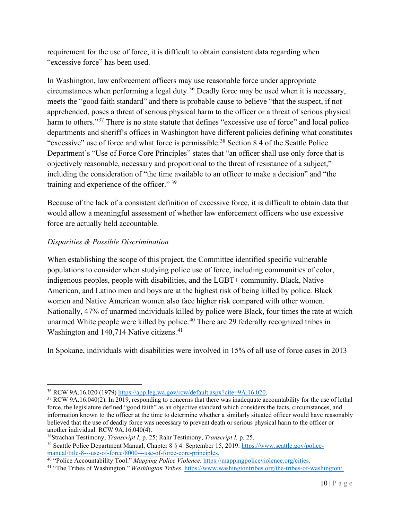requirement for the use of force, it is difficult to obtain consistent data regarding when "excessive force" has been used.

In Washington, law enforcement officers may use reasonable force under appropriate circumstances when performing a legal duty.<sup>[36](#page-10-1)</sup> Deadly force may be used when it is necessary, meets the "good faith standard" and there is probable cause to believe "that the suspect, if not apprehended, poses a threat of serious physical harm to the officer or a threat of serious physical harm to others."<sup>[37](#page-10-2)</sup> There is no state statute that defines "excessive use of force" and local police departments and sheriff's offices in Washington have different policies defining what constitutes "excessive" use of force and what force is permissible.<sup>[38](#page-10-3)</sup> Section 8.4 of the Seattle Police Department's "Use of Force Core Principles" states that "an officer shall use only force that is objectively reasonable, necessary and proportional to the threat of resistance of a subject," including the consideration of "the time available to an officer to make a decision" and "the training and experience of the officer." [39](#page-10-4)

Because of the lack of a consistent definition of excessive force, it is difficult to obtain data that would allow a meaningful assessment of whether law enforcement officers who use excessive force are actually held accountable.

#### <span id="page-10-0"></span>*Disparities & Possible Discrimination*

When establishing the scope of this project, the Committee identified specific vulnerable populations to consider when studying police use of force, including communities of color, indigenous peoples, people with disabilities, and the LGBT+ community. Black, Native American, and Latino men and boys are at the highest risk of being killed by police. Black women and Native American women also face higher risk compared with other women. Nationally, 47% of unarmed individuals killed by police were Black, four times the rate at which unarmed White people were killed by police.<sup>[40](#page-10-5)</sup> There are 29 federally recognized tribes in Washington and 140,714 Native citizens.<sup>[41](#page-10-6)</sup>

In Spokane, individuals with disabilities were involved in 15% of all use of force cases in 2013

<span id="page-10-4"></span><span id="page-10-3"></span><sup>38</sup>Strachan Testimony, *Transcript I*, p. 25; Rahr Testimony, *Transcript I*, p. 25.<br><sup>39</sup> Seattle Police Department Manual, Chapter 8 § 4. September 15, 2019. [https://www.seattle.gov/police](https://www.seattle.gov/police-manual/title-8---use-of-force/8000---use-of-force-core-principles)[manual/title-8---use-of-force/8000---use-of-force-core-principles.](https://www.seattle.gov/police-manual/title-8---use-of-force/8000---use-of-force-core-principles)

<span id="page-10-1"></span><sup>36</sup> RCW 9A.16.020 (1979) [https://app.leg.wa.gov/rcw/default.aspx?cite=9A.16.020.](https://app.leg.wa.gov/rcw/default.aspx?cite=9A.16.020)

<span id="page-10-2"></span><sup>&</sup>lt;sup>37</sup> RCW 9A.16.040(2). In 2019, responding to concerns that there was inadequate accountability for the use of lethal force, the legislature defined "good faith" as an objective standard which considers the facts, circumstances, and information known to the officer at the time to determine whether a similarly situated officer would have reasonably believed that the use of deadly force was necessary to prevent death or serious physical harm to the officer or another individual. RCW 9A.16.040(4).

<span id="page-10-5"></span><sup>40</sup> "Police Accountability Tool." *Mapping Police Violence.* [https://mappingpoliceviolence.org/cities.](https://mappingpoliceviolence.org/cities)

<span id="page-10-6"></span><sup>41</sup> "The Tribes of Washington." *Washington Tribes*. [https://www.washingtontribes.org/the-tribes-of-washington/.](https://www.washingtontribes.org/the-tribes-of-washington/)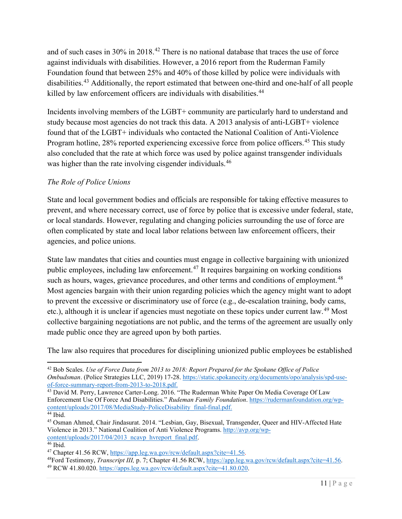and of such cases in  $30\%$  in  $2018<sup>42</sup>$  $2018<sup>42</sup>$  $2018<sup>42</sup>$  There is no national database that traces the use of force against individuals with disabilities. However, a 2016 report from the Ruderman Family Foundation found that between 25% and 40% of those killed by police were individuals with disabilities.[43](#page-11-2) Additionally, the report estimated that between one-third and one-half of all people killed by law enforcement officers are individuals with disabilities.<sup>[44](#page-11-3)</sup>

Incidents involving members of the LGBT+ community are particularly hard to understand and study because most agencies do not track this data. A 2013 analysis of anti-LGBT+ violence found that of the LGBT+ individuals who contacted the National Coalition of Anti-Violence Program hotline, 28% reported experiencing excessive force from police officers.<sup>[45](#page-11-4)</sup> This study also concluded that the rate at which force was used by police against transgender individuals was higher than the rate involving cisgender individuals.<sup>[46](#page-11-5)</sup>

#### <span id="page-11-0"></span>*The Role of Police Unions*

State and local government bodies and officials are responsible for taking effective measures to prevent, and where necessary correct, use of force by police that is excessive under federal, state, or local standards. However, regulating and changing policies surrounding the use of force are often complicated by state and local labor relations between law enforcement officers, their agencies, and police unions.

State law mandates that cities and counties must engage in collective bargaining with unionized public employees, including law enforcement.[47](#page-11-6) It requires bargaining on working conditions such as hours, wages, grievance procedures, and other terms and conditions of employment.<sup>[48](#page-11-7)</sup> Most agencies bargain with their union regarding policies which the agency might want to adopt to prevent the excessive or discriminatory use of force (e.g., de-escalation training, body cams, etc.), although it is unclear if agencies must negotiate on these topics under current law.<sup>[49](#page-11-8)</sup> Most collective bargaining negotiations are not public, and the terms of the agreement are usually only made public once they are agreed upon by both parties.

The law also requires that procedures for disciplining unionized public employees be established

<span id="page-11-1"></span><sup>42</sup> Bob Scales. *Use of Force Data from 2013 to 2018: Report Prepared for the Spokane Office of Police Ombudsman*. (Police Strategies LLC, 2019) 17-28. [https://static.spokanecity.org/documents/opo/analysis/spd-use](https://static.spokanecity.org/documents/opo/analysis/spd-use-of-force-summary-report-from-2013-to-2018.pdf)[of-force-summary-report-from-2013-to-2018.pdf.](https://static.spokanecity.org/documents/opo/analysis/spd-use-of-force-summary-report-from-2013-to-2018.pdf)

<span id="page-11-2"></span><sup>&</sup>lt;sup>43</sup> David M. Perry, Lawrence Carter-Long. 2016. "The Ruderman White Paper On Media Coverage Of Law Enforcement Use Of Force And Disabilities." *Rudeman Family Foundation*. [https://rudermanfoundation.org/wp](https://rudermanfoundation.org/wp-content/uploads/2017/08/MediaStudy-PoliceDisability_final-final.pdf)[content/uploads/2017/08/MediaStudy-PoliceDisability\\_final-final.pdf.](https://rudermanfoundation.org/wp-content/uploads/2017/08/MediaStudy-PoliceDisability_final-final.pdf) 44 Ibid.

<span id="page-11-4"></span><span id="page-11-3"></span><sup>45</sup> Osman Ahmed, Chair Jindasurat. 2014. "Lesbian, Gay, Bisexual, Transgender, Queer and HIV-Affected Hate Violence in 2013." National Coalition of Anti Violence Programs. [http://avp.org/wp](http://avp.org/wp-content/uploads/2017/04/2013_ncavp_hvreport_final.pdf)[content/uploads/2017/04/2013\\_ncavp\\_hvreport\\_final.pdf.](http://avp.org/wp-content/uploads/2017/04/2013_ncavp_hvreport_final.pdf)

<span id="page-11-6"></span><span id="page-11-5"></span><sup>&</sup>lt;sup>46</sup> Ibid.<br><sup>47</sup> Chapter 41.56 RCW, https://app.leg.wa.gov/rcw/default.aspx?cite=41.56.

<span id="page-11-8"></span><span id="page-11-7"></span><sup>&</sup>lt;sup>48</sup>Ford Testimony, *Transcript III*, p. 7; Chapter 41.56 RCW, [https://app.leg.wa.gov/rcw/default.aspx?cite=41.56.](https://app.leg.wa.gov/rcw/default.aspx?cite=41.56)<br><sup>49</sup> RCW 41.80.020. [https://apps.leg.wa.gov/rcw/default.aspx?cite=41.80.020.](https://apps.leg.wa.gov/rcw/default.aspx?cite=41.80.020)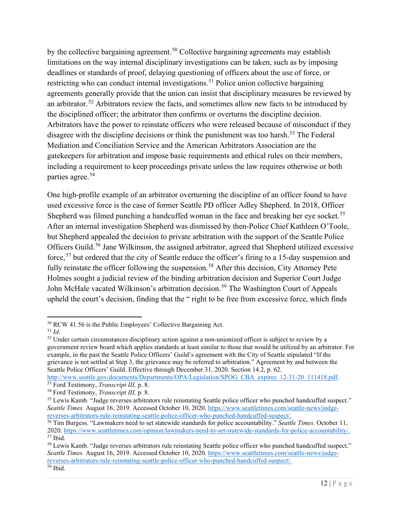by the collective bargaining agreement.<sup>[50](#page-12-0)</sup> Collective bargaining agreements may establish limitations on the way internal disciplinary investigations can be taken, such as by imposing deadlines or standards of proof, delaying questioning of officers about the use of force, or restricting who can conduct internal investigations.<sup>[51](#page-12-1)</sup> Police union collective bargaining agreements generally provide that the union can insist that disciplinary measures be reviewed by an arbitrator.<sup>[52](#page-12-2)</sup> Arbitrators review the facts, and sometimes allow new facts to be introduced by the disciplined officer; the arbitrator then confirms or overturns the discipline decision. Arbitrators have the power to reinstate officers who were released because of misconduct if they disagree with the discipline decisions or think the punishment was too harsh.<sup>[53](#page-12-3)</sup> The Federal Mediation and Conciliation Service and the American Arbitrators Association are the gatekeepers for arbitration and impose basic requirements and ethical rules on their members, including a requirement to keep proceedings private unless the law requires otherwise or both parties agree.[54](#page-12-4)

One high-profile example of an arbitrator overturning the discipline of an officer found to have used excessive force is the case of former Seattle PD officer Adley Shepherd. In 2018, Officer Shepherd was filmed punching a handcuffed woman in the face and breaking her eye socket.<sup>[55](#page-12-5)</sup> After an internal investigation Shepherd was dismissed by then-Police Chief Kathleen O'Toole, but Shepherd appealed the decision to private arbitration with the support of the Seattle Police Officers Guild.<sup>[56](#page-12-6)</sup> Jane Wilkinson, the assigned arbitrator, agreed that Shepherd utilized excessive force,<sup>[57](#page-12-7)</sup> but ordered that the city of Seattle reduce the officer's firing to a 15-day suspension and fully reinstate the officer following the suspension.<sup>[58](#page-12-8)</sup> After this decision, City Attorney Pete Holmes sought a judicial review of the binding arbitration decision and Superior Court Judge John McHale vacated Wilkinson's arbitration decision.<sup>[59](#page-12-9)</sup> The Washington Court of Appeals upheld the court's decision, finding that the " right to be free from excessive force, which finds

<span id="page-12-0"></span><sup>50</sup> RCW 41.56 is the Public Employees' Collective Bargaining Act.

<span id="page-12-1"></span><sup>51</sup> *Id.*

<span id="page-12-2"></span><sup>52</sup> Under certain circumstances disciplinary action against a non-unionized officer is subject to review by a government review board which applies standards at least similar to those that would be utilized by an arbitrator. For example, in the past the Seattle Police Officers' Guild's agreement with the City of Seattle stipulated "If the grievance is not settled at Step 3, the grievance may be referred to arbitration." Agreement by and between the Seattle Police Officers' Guild. Effective through December 31, 2020. Section 14.2, p. 62.

<span id="page-12-3"></span>[http://www.seattle.gov/documents/Departments/OPA/Legislation/SPOG\\_CBA\\_expires\\_12-31-20\\_111418.pdf.](http://www.seattle.gov/documents/Departments/OPA/Legislation/SPOG_CBA_expires_12-31-20_111418.pdf)<br><sup>53</sup> Ford Testimony, *Transcript III*, p. 8.<br><sup>54</sup> Ford Testimony, *Transcript III*, p. 8.

<span id="page-12-5"></span><span id="page-12-4"></span><sup>&</sup>lt;sup>55</sup> Lewis Kamb. "Judge reverses arbitrators rule reinstating Seattle police officer who punched handcuffed suspect." Seattle Times. August 16, 2019. Accessed October 10, 2020. [https://www.seattletimes.com/seattle-news/judge](https://www.seattletimes.com/seattle-news/judge-reverses-arbitrators-rule-reinstating-seattle-police-officer-who-punched-handcuffed-suspect/)[reverses-arbitrators-rule-reinstating-seattle-police-officer-who-punched-handcuffed-suspect/.](https://www.seattletimes.com/seattle-news/judge-reverses-arbitrators-rule-reinstating-seattle-police-officer-who-punched-handcuffed-suspect/)

<span id="page-12-6"></span><sup>56</sup> Tim Burgess. "Lawmakers need to set statewide standards for police accountability." *Seattle Times.* October 11, 2020. [https://www.seattletimes.com/opinion/lawmakers-need-to-set-statewide-standards-for-police-accountability/.](https://www.seattletimes.com/opinion/lawmakers-need-to-set-statewide-standards-for-police-accountability/)  $57$  Ibid.

<span id="page-12-9"></span><span id="page-12-8"></span><span id="page-12-7"></span><sup>&</sup>lt;sup>58</sup> Lewis Kamb. "Judge reverses arbitrators rule reinstating Seattle police officer who punched handcuffed suspect." *Seattle Times.* August 16, 2019. Accessed October 10, 2020. [https://www.seattletimes.com/seattle-news/judge](https://www.seattletimes.com/seattle-news/judge-reverses-arbitrators-rule-reinstating-seattle-police-officer-who-punched-handcuffed-suspect/)[reverses-arbitrators-rule-reinstating-seattle-police-officer-who-punched-handcuffed-suspect/.](https://www.seattletimes.com/seattle-news/judge-reverses-arbitrators-rule-reinstating-seattle-police-officer-who-punched-handcuffed-suspect/) <sup>59</sup> Ibid.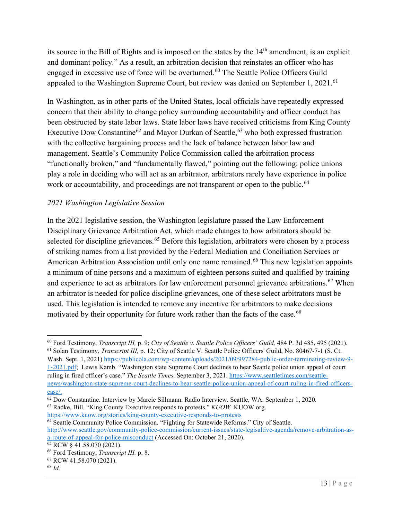its source in the Bill of Rights and is imposed on the states by the 14th amendment, is an explicit and dominant policy." As a result, an arbitration decision that reinstates an officer who has engaged in excessive use of force will be overturned.<sup>[60](#page-13-1)</sup> The Seattle Police Officers Guild appealed to the Washington Supreme Court, but review was denied on September 1, 2021.<sup>[61](#page-13-2)</sup>

In Washington, as in other parts of the United States, local officials have repeatedly expressed concern that their ability to change policy surrounding accountability and officer conduct has been obstructed by state labor laws. State labor laws have received criticisms from King County Executive Dow Constantine<sup>[62](#page-13-3)</sup> and Mayor Durkan of Seattle,<sup>[63](#page-13-4)</sup> who both expressed frustration with the collective bargaining process and the lack of balance between labor law and management. Seattle's Community Police Commission called the arbitration process "functionally broken," and "fundamentally flawed," pointing out the following: police unions play a role in deciding who will act as an arbitrator, arbitrators rarely have experience in police work or accountability, and proceedings are not transparent or open to the public.<sup>[64](#page-13-5)</sup>

#### <span id="page-13-0"></span>*2021 Washington Legislative Session*

In the 2021 legislative session, the Washington legislature passed the Law Enforcement Disciplinary Grievance Arbitration Act, which made changes to how arbitrators should be selected for discipline grievances.<sup>[65](#page-13-6)</sup> Before this legislation, arbitrators were chosen by a process of striking names from a list provided by the Federal Mediation and Conciliation Services or American Arbitration Association until only one name remained.<sup>[66](#page-13-7)</sup> This new legislation appoints a minimum of nine persons and a maximum of eighteen persons suited and qualified by training and experience to act as arbitrators for law enforcement personnel grievance arbitrations.<sup>[67](#page-13-8)</sup> When an arbitrator is needed for police discipline grievances, one of these select arbitrators must be used. This legislation is intended to remove any incentive for arbitrators to make decisions motivated by their opportunity for future work rather than the facts of the case.<sup>[68](#page-13-9)</sup>

<span id="page-13-2"></span>Wash. Sept. 1, 2021) [https://publicola.com/wp-content/uploads/2021/09/997284-public-order-terminating-review-9-](https://publicola.com/wp-content/uploads/2021/09/997284-public-order-terminating-review-9-1-2021.pdf) [1-2021.pdf;](https://publicola.com/wp-content/uploads/2021/09/997284-public-order-terminating-review-9-1-2021.pdf) Lewis Kamb. "Washington state Supreme Court declines to hear Seattle police union appeal of court ruling in fired officer's case." *The Seattle Times*. September 3, 2021[. https://www.seattletimes.com/seattle](https://www.seattletimes.com/seattle-news/washington-state-supreme-court-declines-to-hear-seattle-police-union-appeal-of-court-ruling-in-fired-officers-case/)[news/washington-state-supreme-court-declines-to-hear-seattle-police-union-appeal-of-court-ruling-in-fired-officers](https://www.seattletimes.com/seattle-news/washington-state-supreme-court-declines-to-hear-seattle-police-union-appeal-of-court-ruling-in-fired-officers-case/)[case/.](https://www.seattletimes.com/seattle-news/washington-state-supreme-court-declines-to-hear-seattle-police-union-appeal-of-court-ruling-in-fired-officers-case/)

<span id="page-13-4"></span><https://www.kuow.org/stories/king-county-executive-responds-to-protests>

<span id="page-13-5"></span><sup>64</sup> Seattle Community Police Commission. "Fighting for Statewide Reforms." City of Seattle. [http://www.seattle.gov/community-police-commission/current-issues/state-legisaltive-agenda/remove-arbitration-as](http://www.seattle.gov/community-police-commission/current-issues/state-legisaltive-agenda/remove-arbitration-as-a-route-of-appeal-for-police-misconduct)a-route-of-appeal-for-police-misconduct (Accessed On: October 21, 2020). 65 RCW § 41.58.070 (2021).

<span id="page-13-1"></span><sup>60</sup> Ford Testimony, *Transcript III,* p. 9; *City of Seattle v. Seattle Police Officers' Guild,* 484 P. 3d 485, 495 (2021). <sup>61</sup> Solan Testimony, *Transcript III,* p. 12; City of Seattle V. Seattle Police Officers' Guild, No. 80467-7-1 (S. Ct.

<span id="page-13-3"></span><sup>62</sup> Dow Constantine. Interview by Marcie Sillmann. Radio Interview. Seattle, WA. September 1, 2020. <sup>63</sup> Radke, Bill. "King County Executive responds to protests." *KUOW.* KUOW.org.

<span id="page-13-6"></span>

<span id="page-13-7"></span><sup>&</sup>lt;sup>66</sup> Ford Testimony, *Transcript III*, p. 8.<br><sup>67</sup> RCW 41.58.070 (2021).

<span id="page-13-9"></span><span id="page-13-8"></span><sup>68</sup> *Id.*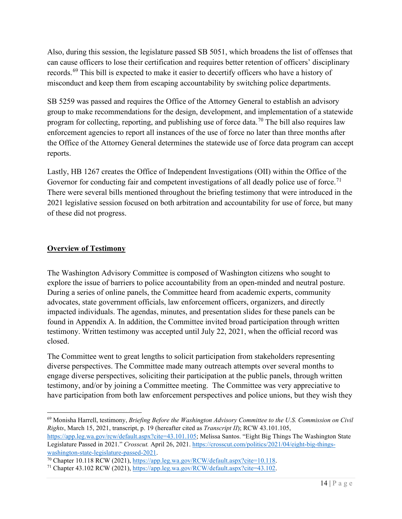Also, during this session, the legislature passed SB 5051, which broadens the list of offenses that can cause officers to lose their certification and requires better retention of officers' disciplinary records.<sup>[69](#page-14-1)</sup> This bill is expected to make it easier to decertify officers who have a history of misconduct and keep them from escaping accountability by switching police departments.

SB 5259 was passed and requires the Office of the Attorney General to establish an advisory group to make recommendations for the design, development, and implementation of a statewide program for collecting, reporting, and publishing use of force data.<sup>[70](#page-14-2)</sup> The bill also requires law enforcement agencies to report all instances of the use of force no later than three months after the Office of the Attorney General determines the statewide use of force data program can accept reports.

Lastly, HB 1267 creates the Office of Independent Investigations (OII) within the Office of the Governor for conducting fair and competent investigations of all deadly police use of force.<sup>[71](#page-14-3)</sup> There were several bills mentioned throughout the briefing testimony that were introduced in the 2021 legislative session focused on both arbitration and accountability for use of force, but many of these did not progress.

#### <span id="page-14-0"></span>**Overview of Testimony**

The Washington Advisory Committee is composed of Washington citizens who sought to explore the issue of barriers to police accountability from an open-minded and neutral posture. During a series of online panels, the Committee heard from academic experts, community advocates, state government officials, law enforcement officers, organizers, and directly impacted individuals. The agendas, minutes, and presentation slides for these panels can be found in Appendix A. In addition, the Committee invited broad participation through written testimony. Written testimony was accepted until July 22, 2021, when the official record was closed.

The Committee went to great lengths to solicit participation from stakeholders representing diverse perspectives. The Committee made many outreach attempts over several months to engage diverse perspectives, soliciting their participation at the public panels, through written testimony, and/or by joining a Committee meeting. The Committee was very appreciative to have participation from both law enforcement perspectives and police unions, but they wish they

<span id="page-14-1"></span><sup>69</sup> Monisha Harrell, testimony, *Briefing Before the Washington Advisory Committee to the U.S. Commission on Civil Rights*, March 15, 2021, transcript, p. 19 (hereafter cited as *Transcript II*); RCW 43.101.105, [https://app.leg.wa.gov/rcw/default.aspx?cite=43.101.105;](https://app.leg.wa.gov/rcw/default.aspx?cite=43.101.105) Melissa Santos. "Eight Big Things The Washington State Legislature Passed in 2021." *Crosscut.* April 26, 2021. [https://crosscut.com/politics/2021/04/eight-big-things-](https://crosscut.com/politics/2021/04/eight-big-things-washington-state-legislature-passed-2021)

<span id="page-14-2"></span>[washington-state-legislature-passed-2021.](https://crosscut.com/politics/2021/04/eight-big-things-washington-state-legislature-passed-2021)<br><sup>70</sup> Chapter 10.118 RCW (2021), [https://app.leg.wa.gov/RCW/default.aspx?cite=10.118.](https://app.leg.wa.gov/RCW/default.aspx?cite=10.118)<br><sup>71</sup> Chapter 43.102 RCW (2021), [https://app.leg.wa.gov/RCW/default.aspx?cite=43.102.](https://app.leg.wa.gov/RCW/default.aspx?cite=43.102)

<span id="page-14-3"></span>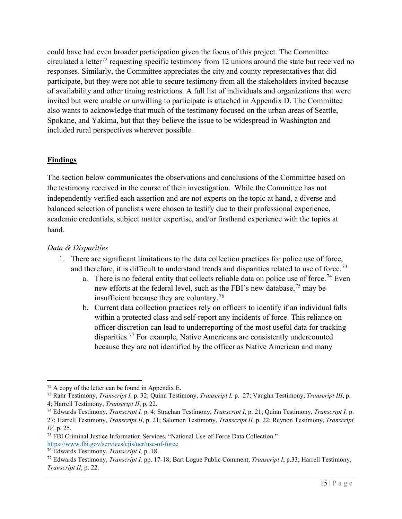could have had even broader participation given the focus of this project. The Committee circulated a letter<sup>[72](#page-15-1)</sup> requesting specific testimony from 12 unions around the state but received no responses. Similarly, the Committee appreciates the city and county representatives that did participate, but they were not able to secure testimony from all the stakeholders invited because of availability and other timing restrictions. A full list of individuals and organizations that were invited but were unable or unwilling to participate is attached in Appendix D. The Committee also wants to acknowledge that much of the testimony focused on the urban areas of Seattle, Spokane, and Yakima, but that they believe the issue to be widespread in Washington and included rural perspectives wherever possible.

#### **Findings**

The section below communicates the observations and conclusions of the Committee based on the testimony received in the course of their investigation. While the Committee has not independently verified each assertion and are not experts on the topic at hand, a diverse and balanced selection of panelists were chosen to testify due to their professional experience, academic credentials, subject matter expertise, and/or firsthand experience with the topics at hand.

#### <span id="page-15-0"></span>*Data & Disparities*

- 1. There are significant limitations to the data collection practices for police use of force, and therefore, it is difficult to understand trends and disparities related to use of force.<sup>[73](#page-15-2)</sup>
	- a. There is no federal entity that collects reliable data on police use of force.<sup>[74](#page-15-3)</sup> Even new efforts at the federal level, such as the FBI's new database,<sup>[75](#page-15-4)</sup> may be insufficient because they are voluntary.<sup>[76](#page-15-5)</sup>
	- b. Current data collection practices rely on officers to identify if an individual falls within a protected class and self-report any incidents of force. This reliance on officer discretion can lead to underreporting of the most useful data for tracking disparities.<sup>[77](#page-15-6)</sup> For example, Native Americans are consistently undercounted because they are not identified by the officer as Native American and many

<span id="page-15-1"></span> $72$  A copy of the letter can be found in Appendix E.

<span id="page-15-2"></span><sup>73</sup> Rahr Testimony, *Transcript I,* p. 32; Quinn Testimony, *Transcript I,* p. 27; Vaughn Testimony, *Transcript III*, p. 4; Harrell Testimony, *Transcript II*, p. 22.<br><sup>74</sup> Edwards Testimony, *Transcript I*, p. 4; Strachan Testimony, *Transcript I*, p. 21; Quinn Testimony, *Transcript I*, p.

<span id="page-15-3"></span><sup>27;</sup> Harrell Testimony, *Transcript II*, p. 21; Salomon Testimony, *Transcript II,* p. 22; Reynon Testimony, *Transcript IV,* p. 25.

<span id="page-15-4"></span><sup>75</sup> FBI Criminal Justice Information Services. "National Use-of-Force Data Collection." <https://www.fbi.gov/services/cjis/ucr/use-of-force>

<span id="page-15-5"></span><sup>76</sup> Edwards Testimony, *Transcript I,* p. 18.

<span id="page-15-6"></span><sup>77</sup> Edwards Testimony, *Transcript I,* pp. 17-18; Bart Logue Public Comment, *Transcript I*, p.33; Harrell Testimony, *Transcript II*, p. 22.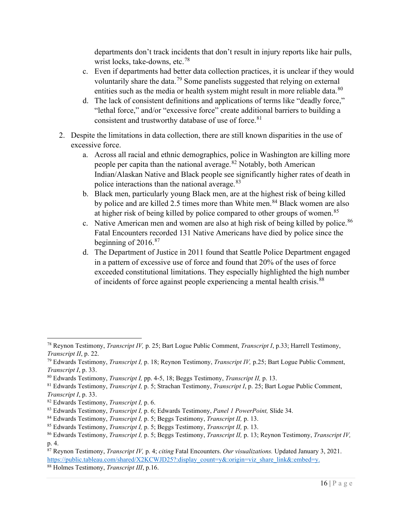departments don't track incidents that don't result in injury reports like hair pulls, wrist locks, take-downs, etc.<sup>[78](#page-16-0)</sup>

- c. Even if departments had better data collection practices, it is unclear if they would voluntarily share the data.<sup>[79](#page-16-1)</sup> Some panelists suggested that relying on external entities such as the media or health system might result in more reliable data.<sup>[80](#page-16-2)</sup>
- d. The lack of consistent definitions and applications of terms like "deadly force," "lethal force," and/or "excessive force" create additional barriers to building a consistent and trustworthy database of use of force. $81$
- 2. Despite the limitations in data collection, there are still known disparities in the use of excessive force.
	- a. Across all racial and ethnic demographics, police in Washington are killing more people per capita than the national average.<sup>[82](#page-16-4)</sup> Notably, both American Indian/Alaskan Native and Black people see significantly higher rates of death in police interactions than the national average.<sup>[83](#page-16-5)</sup>
	- b. Black men, particularly young Black men, are at the highest risk of being killed by police and are killed 2.5 times more than White men.<sup>[84](#page-16-6)</sup> Black women are also at higher risk of being killed by police compared to other groups of women.<sup>[85](#page-16-7)</sup>
	- c. Native American men and women are also at high risk of being killed by police.<sup>[86](#page-16-8)</sup> Fatal Encounters recorded 131 Native Americans have died by police since the beginning of 2016.<sup>[87](#page-16-9)</sup>
	- d. The Department of Justice in 2011 found that Seattle Police Department engaged in a pattern of excessive use of force and found that 20% of the uses of force exceeded constitutional limitations. They especially highlighted the high number of incidents of force against people experiencing a mental health crisis.<sup>[88](#page-16-10)</sup>

<span id="page-16-0"></span><sup>78</sup> Reynon Testimony, *Transcript IV,* p. 25; Bart Logue Public Comment, *Transcript I*, p.33; Harrell Testimony, *Transcript II*, p. 22.

<span id="page-16-1"></span><sup>79</sup> Edwards Testimony, *Transcript I,* p. 18; Reynon Testimony, *Transcript IV,* p.25; Bart Logue Public Comment, *Transcript I*, p. 33.

<span id="page-16-2"></span><sup>80</sup> Edwards Testimony, *Transcript I,* pp. 4-5, 18; Beggs Testimony, *Transcript II,* p. 13.

<span id="page-16-3"></span><sup>81</sup> Edwards Testimony, *Transcript I,* p. 5; Strachan Testimony, *Transcript I*, p. 25; Bart Logue Public Comment, *Transcript I*, p. 33.

<span id="page-16-4"></span><sup>82</sup> Edwards Testimony, *Transcript I,* p. 6.

<span id="page-16-5"></span><sup>83</sup> Edwards Testimony, *Transcript I,* p. 6; Edwards Testimony, *Panel 1 PowerPoint,* Slide 34.

<span id="page-16-6"></span><sup>84</sup> Edwards Testimony, *Transcript I,* p. 5; Beggs Testimony, *Transcript II,* p. 13.

<span id="page-16-7"></span><sup>85</sup> Edwards Testimony, *Transcript I,* p. 5; Beggs Testimony, *Transcript II,* p. 13.

<span id="page-16-8"></span><sup>86</sup> Edwards Testimony, *Transcript I,* p. 5; Beggs Testimony, *Transcript II,* p. 13; Reynon Testimony, *Transcript IV,* p. 4.

<span id="page-16-9"></span><sup>87</sup> Reynon Testimony, *Transcript IV,* p. 4; *citing* Fatal Encounters. *Our visualizations.* Updated January 3, 2021. [https://public.tableau.com/shared/X2KCWJD25?:display\\_count=y&:origin=viz\\_share\\_link&:embed=y.](https://public.tableau.com/shared/X2KCWJD25?:display_count=y&:origin=viz_share_link&:embed=y)

<span id="page-16-10"></span><sup>88</sup> Holmes Testimony, *Transcript III*, p.16.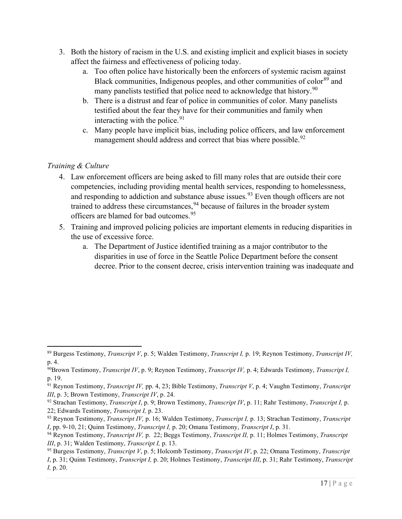- 3. Both the history of racism in the U.S. and existing implicit and explicit biases in society affect the fairness and effectiveness of policing today.
	- a. Too often police have historically been the enforcers of systemic racism against Black communities, Indigenous peoples, and other communities of color<sup>[89](#page-17-1)</sup> and many panelists testified that police need to acknowledge that history.<sup>[90](#page-17-2)</sup>
	- b. There is a distrust and fear of police in communities of color. Many panelists testified about the fear they have for their communities and family when interacting with the police.  $91$
	- c. Many people have implicit bias, including police officers, and law enforcement management should address and correct that bias where possible.<sup>[92](#page-17-4)</sup>

#### <span id="page-17-0"></span>*Training & Culture*

- 4. Law enforcement officers are being asked to fill many roles that are outside their core competencies, including providing mental health services, responding to homelessness, and responding to addiction and substance abuse issues.<sup>[93](#page-17-5)</sup> Even though officers are not trained to address these circumstances, <sup>[94](#page-17-6)</sup> because of failures in the broader system officers are blamed for bad outcomes. [95](#page-17-7)
- 5. Training and improved policing policies are important elements in reducing disparities in the use of excessive force.
	- a. The Department of Justice identified training as a major contributor to the disparities in use of force in the Seattle Police Department before the consent decree. Prior to the consent decree, crisis intervention training was inadequate and

<span id="page-17-1"></span><sup>89</sup> Burgess Testimony, *Transcript V*, p. 5; Walden Testimony, *Transcript I,* p. 19; Reynon Testimony, *Transcript IV,* p. 4.

<span id="page-17-2"></span><sup>90</sup>Brown Testimony, *Transcript IV*, p. 9; Reynon Testimony, *Transcript IV,* p. 4; Edwards Testimony, *Transcript I,* p. 19.

<span id="page-17-3"></span><sup>91</sup> Reynon Testimony, *Transcript IV,* pp. 4, 23; Bible Testimony, *Transcript V*, p. 4; Vaughn Testimony, *Transcript III*, p. 3; Brown Testimony, *Transcript IV*, p. 24.

<span id="page-17-4"></span><sup>92</sup> Strachan Testimony, *Transcript I*, p. 9; Brown Testimony, *Transcript IV*, p. 11; Rahr Testimony, *Transcript I,* p. 22; Edwards Testimony, *Transcript I,* p. 23.

<span id="page-17-5"></span><sup>93</sup> Reynon Testimony, *Transcript IV,* p. 16; Walden Testimony, *Transcript I,* p. 13; Strachan Testimony, *Transcript I*, pp. 9-10, 21; Quinn Testimony, *Transcript I,* p. 20; Omana Testimony, *Transcript I*, p. 31.

<span id="page-17-6"></span><sup>94</sup> Reynon Testimony, *Transcript IV,* p. 22; Beggs Testimony, *Transcript II,* p. 11; Holmes Testimony, *Transcript III*, p. 31; Walden Testimony, *Transcript I,* p. 13.

<span id="page-17-7"></span><sup>95</sup> Burgess Testimony, *Transcript V*, p. 5; Holcomb Testimony, *Transcript IV*, p. 22; Omana Testimony, *Transcript I*, p. 31; Quinn Testimony, *Transcript I,* p. 20; Holmes Testimony, *Transcript III*, p. 31; Rahr Testimony, *Transcript I,* p. 20.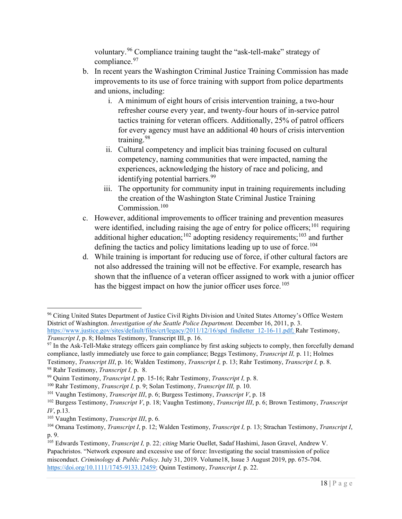voluntary.<sup>[96](#page-18-0)</sup> Compliance training taught the "ask-tell-make" strategy of compliance.<sup>[97](#page-18-1)</sup>

- b. In recent years the Washington Criminal Justice Training Commission has made improvements to its use of force training with support from police departments and unions, including:
	- i. A minimum of eight hours of crisis intervention training, a two-hour refresher course every year, and twenty-four hours of in-service patrol tactics training for veteran officers. Additionally, 25% of patrol officers for every agency must have an additional 40 hours of crisis intervention training.[98](#page-18-2)
	- ii. Cultural competency and implicit bias training focused on cultural competency, naming communities that were impacted, naming the experiences, acknowledging the history of race and policing, and identifying potential barriers.<sup>[99](#page-18-3)</sup>
	- iii. The opportunity for community input in training requirements including the creation of the Washington State Criminal Justice Training Commission.[100](#page-18-4)
- c. However, additional improvements to officer training and prevention measures were identified, including raising the age of entry for police officers;<sup>[101](#page-18-5)</sup> requiring additional higher education;<sup>[102](#page-18-6)</sup> adopting residency requirements;<sup>[103](#page-18-7)</sup> and further defining the tactics and policy limitations leading up to use of force.<sup>[104](#page-18-8)</sup>
- d. While training is important for reducing use of force, if other cultural factors are not also addressed the training will not be effective. For example, research has shown that the influence of a veteran officer assigned to work with a junior officer has the biggest impact on how the junior officer uses force.<sup>[105](#page-18-9)</sup>

<span id="page-18-0"></span><sup>96</sup> Citing United States Department of Justice Civil Rights Division and United States Attorney's Office Western District of Washington. *Investigation of the Seattle Police Department.* December 16, 2011, p. 3. [https://www.justice.gov/sites/default/files/crt/legacy/2011/12/16/spd\\_findletter\\_12-16-11.pdf;](https://www.justice.gov/sites/default/files/crt/legacy/2011/12/16/spd_findletter_12-16-11.pdf) Rahr Testimony, *Transcript I*, p. 8; Holmes Testimony, Transcript III, p. 16.

<span id="page-18-1"></span><sup>&</sup>lt;sup>97</sup> In the Ask-Tell-Make strategy officers gain compliance by first asking subjects to comply, then forcefully demand compliance, lastly immediately use force to gain compliance; Beggs Testimony, *Transcript II,* p. 11; Holmes

<span id="page-18-2"></span>Testimony, *Transcript III*, p. 16; Walden Testimony, *Transcript I,* p. 13; Rahr Testimony, *Transcript I,* p. 8. <sup>98</sup> Rahr Testimony, *Transcript I,* p. 8.

<span id="page-18-3"></span><sup>99</sup> Quinn Testimony, *Transcript I,* pp. 15-16; Rahr Testimony, *Transcript I,* p. 8.

<span id="page-18-4"></span><sup>100</sup> Rahr Testimony, *Transcript I,* p. 9; Solan Testimony, *Transcript III,* p. 10.

<span id="page-18-5"></span><sup>101</sup> Vaughn Testimony, *Transcript III*, p. 6; Burgess Testimony, *Transcript V*, p. 18

<span id="page-18-6"></span><sup>102</sup> Burgess Testimony, *Transcript V*, p. 18; Vaughn Testimony, *Transcript III*, p. 6; Brown Testimony, *Transcript IV*, p.13.

<span id="page-18-7"></span><sup>103</sup> Vaughn Testimony, *Transcript III*, p. 6.

<span id="page-18-8"></span><sup>104</sup> Omana Testimony, *Transcript I*, p. 12; Walden Testimony, *Transcript I,* p. 13; Strachan Testimony, *Transcript I*, p. 9.

<span id="page-18-9"></span><sup>105</sup> Edwards Testimony, *Transcript I,* p. 22; *citing* Marie Ouellet, Sadaf Hashimi, Jason Gravel, Andrew V. Papachristos. "Network exposure and excessive use of force: Investigating the social transmission of police misconduct. *Criminology & Public Policy*. July 31, 2019. Volume18, Issue 3 August 2019, pp. 675-704. [https://doi.org/10.1111/1745-9133.12459;](https://doi.org/10.1111/1745-9133.12459) Quinn Testimony, *Transcript I,* p. 22.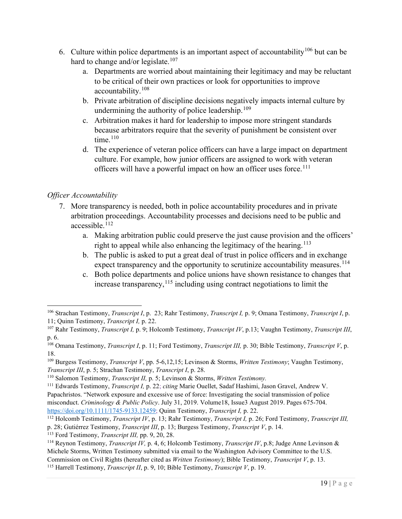- 6. Culture within police departments is an important aspect of accountability<sup>[106](#page-19-1)</sup> but can be hard to change and/or legislate.<sup>[107](#page-19-2)</sup>
	- a. Departments are worried about maintaining their legitimacy and may be reluctant to be critical of their own practices or look for opportunities to improve accountability.[108](#page-19-3)
	- b. Private arbitration of discipline decisions negatively impacts internal culture by undermining the authority of police leadership.<sup>[109](#page-19-4)</sup>
	- c. Arbitration makes it hard for leadership to impose more stringent standards because arbitrators require that the severity of punishment be consistent over time. $110$
	- d. The experience of veteran police officers can have a large impact on department culture. For example, how junior officers are assigned to work with veteran officers will have a powerful impact on how an officer uses force.<sup>[111](#page-19-6)</sup>

#### <span id="page-19-0"></span>*Officer Accountability*

- 7. More transparency is needed, both in police accountability procedures and in private arbitration proceedings. Accountability processes and decisions need to be public and accessible.[112](#page-19-7)
	- a. Making arbitration public could preserve the just cause provision and the officers' right to appeal while also enhancing the legitimacy of the hearing.<sup>[113](#page-19-8)</sup>
	- b. The public is asked to put a great deal of trust in police officers and in exchange expect transparency and the opportunity to scrutinize accountability measures.<sup>[114](#page-19-9)</sup>
	- c. Both police departments and police unions have shown resistance to changes that increase transparency,  $^{115}$  $^{115}$  $^{115}$  including using contract negotiations to limit the

<span id="page-19-8"></span><sup>113</sup> Ford Testimony, *Transcript III,* pp. 9, 20, 28.

<span id="page-19-1"></span><sup>106</sup> Strachan Testimony, *Transcript I*, p. 23; Rahr Testimony, *Transcript I,* p. 9; Omana Testimony, *Transcript I*, p. 11; Quinn Testimony, *Transcript I,* p. 22.

<span id="page-19-2"></span><sup>107</sup> Rahr Testimony, *Transcript I,* p. 9; Holcomb Testimony, *Transcript IV*, p.13; Vaughn Testimony, *Transcript III*, p. 6.

<span id="page-19-3"></span><sup>108</sup> Omana Testimony, *Transcript I*, p. 11; Ford Testimony, *Transcript III,* p. 30; Bible Testimony, *Transcript V*, p. 18.

<span id="page-19-4"></span><sup>109</sup> Burgess Testimony, *Transcript V*, pp. 5-6,12,15; Levinson & Storms, *Written Testimony*; Vaughn Testimony, *Transcript III*, p. 5; Strachan Testimony, *Transcript I*, p. 28.

<span id="page-19-5"></span><sup>110</sup> Salomon Testimony, *Transcript II,* p. 5; Levinson & Storms, *Written Testimony.*

<span id="page-19-6"></span><sup>111</sup> Edwards Testimony, *Transcript I,* p. 22; *citing* Marie Ouellet, Sadaf Hashimi, Jason Gravel, Andrew V. Papachristos. "Network exposure and excessive use of force: Investigating the social transmission of police misconduct. *Criminology & Public Policy*. July 31, 2019. Volume18, Issue3 August 2019. Pages 675-704. [https://doi.org/10.1111/1745-9133.12459;](https://doi.org/10.1111/1745-9133.12459) Quinn Testimony, *Transcript I,* p. 22.

<span id="page-19-7"></span><sup>112</sup> Holcomb Testimony, *Transcript IV*, p. 13; Rahr Testimony, *Transcript I,* p. 26; Ford Testimony, *Transcript III,* p. 28; Gutiérrez Testimony, *Transcript III*, p. 13; Burgess Testimony, *Transcript V*, p. 14.

<span id="page-19-9"></span><sup>114</sup> Reynon Testimony, *Transcript IV,* p. 4, 6; Holcomb Testimony, *Transcript IV*, p.8; Judge Anne Levinson & Michele Storms, Written Testimony submitted via email to the Washington Advisory Committee to the U.S. Commission on Civil Rights (hereafter cited as *Written Testimony*); Bible Testimony, *Transcript V*, p. 13.

<span id="page-19-10"></span><sup>115</sup> Harrell Testimony, *Transcript II*, p. 9, 10; Bible Testimony, *Transcript V*, p. 19.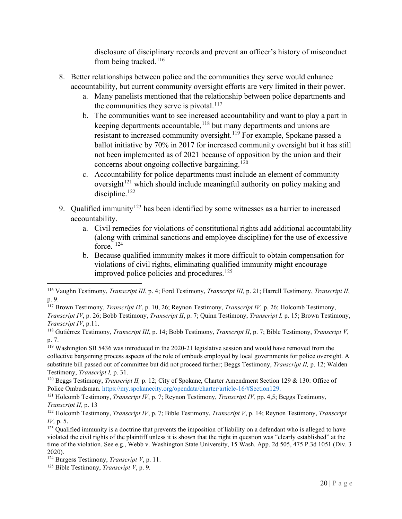disclosure of disciplinary records and prevent an officer's history of misconduct from being tracked.<sup>[116](#page-20-0)</sup>

- 8. Better relationships between police and the communities they serve would enhance accountability, but current community oversight efforts are very limited in their power.
	- a. Many panelists mentioned that the relationship between police departments and the communities they serve is pivotal. $117$
	- b. The communities want to see increased accountability and want to play a part in keeping departments accountable,<sup>[118](#page-20-2)</sup> but many departments and unions are resistant to increased community oversight.[119](#page-20-3) For example, Spokane passed a ballot initiative by 70% in 2017 for increased community oversight but it has still not been implemented as of 2021 because of opposition by the union and their concerns about ongoing collective bargaining.<sup>[120](#page-20-4)</sup>
	- c. Accountability for police departments must include an element of community oversight<sup>[121](#page-20-5)</sup> which should include meaningful authority on policy making and discipline.<sup>[122](#page-20-6)</sup>
- 9. Qualified immunity<sup>[123](#page-20-7)</sup> has been identified by some witnesses as a barrier to increased accountability.
	- a. Civil remedies for violations of constitutional rights add additional accountability (along with criminal sanctions and employee discipline) for the use of excessive force.  $124$
	- b. Because qualified immunity makes it more difficult to obtain compensation for violations of civil rights, eliminating qualified immunity might encourage improved police policies and procedures.<sup>[125](#page-20-9)</sup>

<span id="page-20-0"></span><sup>116</sup> Vaughn Testimony, *Transcript III*, p. 4; Ford Testimony, *Transcript III,* p. 21; Harrell Testimony, *Transcript II*, p. 9.

<span id="page-20-1"></span><sup>117</sup> Brown Testimony, *Transcript IV*, p. 10, 26; Reynon Testimony, *Transcript IV,* p. 26; Holcomb Testimony, *Transcript IV*, p. 26; Bobb Testimony, *Transcript II*, p. 7; Quinn Testimony, *Transcript I,* p. 15; Brown Testimony, *Transcript IV*, p.11.

<span id="page-20-2"></span><sup>118</sup> Gutiérrez Testimony, *Transcript III*, p. 14; Bobb Testimony, *Transcript II*, p. 7; Bible Testimony, *Transcript V*, p. 7.

<span id="page-20-3"></span><sup>119</sup> Washington SB 5436 was introduced in the 2020-21 legislative session and would have removed from the collective bargaining process aspects of the role of ombuds employed by local governments for police oversight. A substitute bill passed out of committee but did not proceed further; Beggs Testimony, *Transcript II,* p. 12; Walden Testimony, *Transcript I,* p. 31.

<span id="page-20-4"></span><sup>120</sup> Beggs Testimony, *Transcript II,* p. 12; City of Spokane, Charter Amendment Section 129 & 130: Office of Police Ombudsman[. https://my.spokanecity.org/opendata/charter/article-16/#Section129.](https://my.spokanecity.org/opendata/charter/article-16/#Section129)

<span id="page-20-5"></span><sup>121</sup> Holcomb Testimony, *Transcript IV*, p. 7; Reynon Testimony, *Transcript IV,* pp. 4,5; Beggs Testimony, *Transcript II,* p. 13

<span id="page-20-6"></span><sup>122</sup> Holcomb Testimony, *Transcript IV*, p. 7; Bible Testimony, *Transcript V*, p. 14; Reynon Testimony, *Transcript* 

<span id="page-20-7"></span><sup>&</sup>lt;sup>123</sup> Qualified immunity is a doctrine that prevents the imposition of liability on a defendant who is alleged to have violated the civil rights of the plaintiff unless it is shown that the right in question was "clearly established" at the time of the violation. See e.g., Webb v. Washington State University, 15 Wash. App. 2d 505, 475 P.3d 1051 (Div. 3) 2020).

<span id="page-20-8"></span><sup>124</sup> Burgess Testimony, *Transcript V*, p. 11.

<span id="page-20-9"></span><sup>125</sup> Bible Testimony, *Transcript V*, p. 9.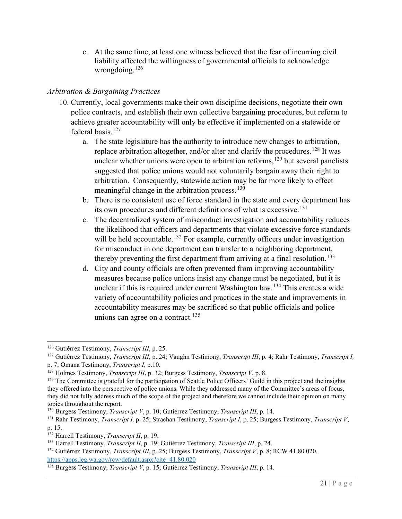c. At the same time, at least one witness believed that the fear of incurring civil liability affected the willingness of governmental officials to acknowledge wrongdoing. $126$ 

#### <span id="page-21-0"></span>*Arbitration & Bargaining Practices*

- 10. Currently, local governments make their own discipline decisions, negotiate their own police contracts, and establish their own collective bargaining procedures, but reform to achieve greater accountability will only be effective if implemented on a statewide or federal basis. [127](#page-21-2)
	- a. The state legislature has the authority to introduce new changes to arbitration, replace arbitration altogether, and/or alter and clarify the procedures.<sup>[128](#page-21-3)</sup> It was unclear whether unions were open to arbitration reforms, [129](#page-21-4) but several panelists suggested that police unions would not voluntarily bargain away their right to arbitration. Consequently, statewide action may be far more likely to effect meaningful change in the arbitration process.<sup>[130](#page-21-5)</sup>
	- b. There is no consistent use of force standard in the state and every department has its own procedures and different definitions of what is excessive.<sup>[131](#page-21-6)</sup>
	- c. The decentralized system of misconduct investigation and accountability reduces the likelihood that officers and departments that violate excessive force standards will be held accountable.<sup>[132](#page-21-7)</sup> For example, currently officers under investigation for misconduct in one department can transfer to a neighboring department, thereby preventing the first department from arriving at a final resolution.<sup>[133](#page-21-8)</sup>
	- d. City and county officials are often prevented from improving accountability measures because police unions insist any change must be negotiated, but it is unclear if this is required under current Washington law. [134](#page-21-9) This creates a wide variety of accountability policies and practices in the state and improvements in accountability measures may be sacrificed so that public officials and police unions can agree on a contract.<sup>[135](#page-21-10)</sup>

<span id="page-21-1"></span><sup>126</sup> Gutiérrez Testimony, *Transcript III*, p. 25.

<span id="page-21-2"></span><sup>127</sup> Gutiérrez Testimony, *Transcript III*, p. 24; Vaughn Testimony, *Transcript III*, p. 4; Rahr Testimony, *Transcript I,* p. 7; Omana Testimony, *Transcript I*, p.10.

<span id="page-21-3"></span><sup>128</sup> Holmes Testimony, *Transcript III*, p. 32; Burgess Testimony, *Transcript V*, p. 8.

<span id="page-21-4"></span><sup>&</sup>lt;sup>129</sup> The Committee is grateful for the participation of Seattle Police Officers' Guild in this project and the insights they offered into the perspective of police unions. While they addressed many of the Committee's areas of focus, they did not fully address much of the scope of the project and therefore we cannot include their opinion on many topics throughout the report.

<span id="page-21-5"></span><sup>130</sup> Burgess Testimony, *Transcript V*, p. 10; Gutiérrez Testimony, *Transcript III*, p. 14.

<span id="page-21-6"></span><sup>131</sup> Rahr Testimony, *Transcript I,* p. 25; Strachan Testimony, *Transcript I*, p. 25; Burgess Testimony, *Transcript V*, p. 15.

<span id="page-21-7"></span><sup>132</sup> Harrell Testimony, *Transcript II*, p. 19.

<span id="page-21-8"></span><sup>133</sup> Harrell Testimony, *Transcript II*, p. 19; Gutiérrez Testimony, *Transcript III*, p. 24.

<span id="page-21-9"></span><sup>134</sup> Gutiérrez Testimony, *Transcript III*, p. 25; Burgess Testimony, *Transcript V*, p. 8; RCW 41.80.020. <https://apps.leg.wa.gov/rcw/default.aspx?cite=41.80.020>

<span id="page-21-10"></span><sup>135</sup> Burgess Testimony, *Transcript V*, p. 15; Gutiérrez Testimony, *Transcript III*, p. 14.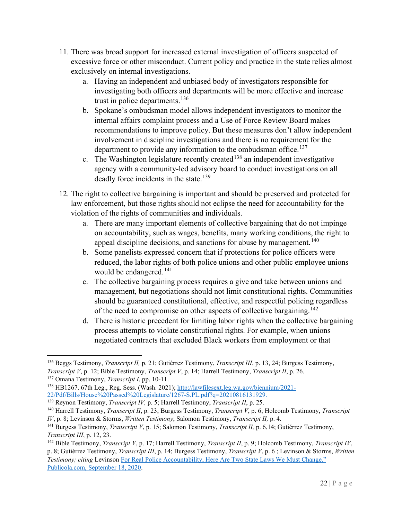- 11. There was broad support for increased external investigation of officers suspected of excessive force or other misconduct. Current policy and practice in the state relies almost exclusively on internal investigations.
	- a. Having an independent and unbiased body of investigators responsible for investigating both officers and departments will be more effective and increase trust in police departments.<sup>[136](#page-22-0)</sup>
	- b. Spokane's ombudsman model allows independent investigators to monitor the internal affairs complaint process and a Use of Force Review Board makes recommendations to improve policy. But these measures don't allow independent involvement in discipline investigations and there is no requirement for the department to provide any information to the ombudsman office.<sup>[137](#page-22-1)</sup>
	- c. The Washington legislature recently created<sup>[138](#page-22-2)</sup> an independent investigative agency with a community-led advisory board to conduct investigations on all deadly force incidents in the state.<sup>[139](#page-22-3)</sup>
- 12. The right to collective bargaining is important and should be preserved and protected for law enforcement, but those rights should not eclipse the need for accountability for the violation of the rights of communities and individuals.
	- a. There are many important elements of collective bargaining that do not impinge on accountability, such as wages, benefits, many working conditions, the right to appeal discipline decisions, and sanctions for abuse by management.<sup>[140](#page-22-4)</sup>
	- b. Some panelists expressed concern that if protections for police officers were reduced, the labor rights of both police unions and other public employee unions would be endangered. [141](#page-22-5)
	- c. The collective bargaining process requires a give and take between unions and management, but negotiations should not limit constitutional rights. Communities should be guaranteed constitutional, effective, and respectful policing regardless of the need to compromise on other aspects of collective bargaining.<sup>[142](#page-22-6)</sup>
	- d. There is historic precedent for limiting labor rights when the collective bargaining process attempts to violate constitutional rights. For example, when unions negotiated contracts that excluded Black workers from employment or that

<span id="page-22-0"></span><sup>136</sup> Beggs Testimony, *Transcript II,* p. 21; Gutiérrez Testimony, *Transcript III*, p. 13, 24; Burgess Testimony, *Transcript V*, p. 12; Bible Testimony, *Transcript V*, p. 14; Harrell Testimony, *Transcript II*, p. 26.

<span id="page-22-1"></span><sup>137</sup> Omana Testimony, *Transcript I*, pp. 10-11.

<span id="page-22-2"></span><sup>138</sup> HB1267. 67th Leg., Reg. Sess. (Wash. 2021); [http://lawfilesext.leg.wa.gov/biennium/2021-](http://lawfilesext.leg.wa.gov/biennium/2021-22/Pdf/Bills/House%20Passed%20Legislature/1267-S.PL.pdf?q=20210816131929) [22/Pdf/Bills/House%20Passed%20Legislature/1267-S.PL.pdf?q=20210816131929.](http://lawfilesext.leg.wa.gov/biennium/2021-22/Pdf/Bills/House%20Passed%20Legislature/1267-S.PL.pdf?q=20210816131929)

<sup>139</sup> Reynon Testimony, *Transcript IV,* p. 5; Harrell Testimony, *Transcript II*, p. 25.

<span id="page-22-4"></span><span id="page-22-3"></span><sup>140</sup> Harrell Testimony, *Transcript II*, p. 23; Burgess Testimony, *Transcript V*, p. 6; Holcomb Testimony, *Transcript IV*, p. 8; Levinson & Storms, *Written Testimony*; Salomon Testimony, *Transcript II,* p. 4.

<span id="page-22-5"></span><sup>141</sup> Burgess Testimony, *Transcript V*, p. 15; Salomon Testimony, *Transcript II,* p. 6,14; Gutiérrez Testimony, *Transcript III*, p. 12, 23.

<span id="page-22-6"></span><sup>142</sup> Bible Testimony, *Transcript V*, p. 17; Harrell Testimony, *Transcript II*, p. 9; Holcomb Testimony, *Transcript IV*, p. 8; Gutiérrez Testimony, *Transcript III*, p. 14; Burgess Testimony, *Transcript V*, p. 6 ; Levinson & Storms, *Written Testimony; citing* Levinson [For Real Police Accountability, Here Are Two State Laws We Must Change,"](https://publicola.com/2020/09/18/anne-levinson-for-real-police-accountability-here-are-two-state-laws-we-must-change/)  [Publicola.com, September 18, 2020.](https://publicola.com/2020/09/18/anne-levinson-for-real-police-accountability-here-are-two-state-laws-we-must-change/)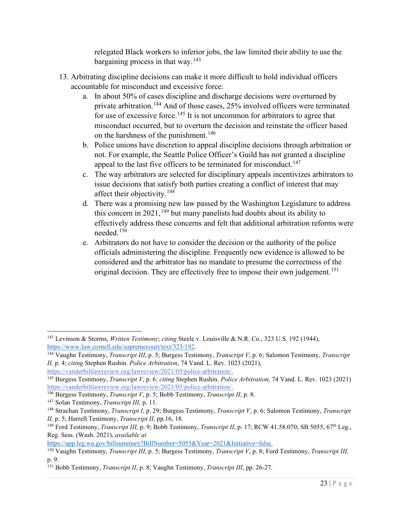relegated Black workers to inferior jobs, the law limited their ability to use the bargaining process in that way.<sup>[143](#page-23-0)</sup>

- 13. Arbitrating discipline decisions can make it more difficult to hold individual officers accountable for misconduct and excessive force.
	- a. In about 50% of cases discipline and discharge decisions were overturned by private arbitration.[144](#page-23-1) And of those cases, 25% involved officers were terminated for use of excessive force.<sup>[145](#page-23-2)</sup> It is not uncommon for arbitrators to agree that misconduct occurred, but to overturn the decision and reinstate the officer based on the harshness of the punishment.<sup>[146](#page-23-3)</sup>
	- b. Police unions have discretion to appeal discipline decisions through arbitration or not. For example, the Seattle Police Officer's Guild has not granted a discipline appeal to the last five officers to be terminated for misconduct.<sup>[147](#page-23-4)</sup>
	- c. The way arbitrators are selected for disciplinary appeals incentivizes arbitrators to issue decisions that satisfy both parties creating a conflict of interest that may affect their objectivity.<sup>[148](#page-23-5)</sup>
	- d. There was a promising new law passed by the Washington Legislature to address this concern in  $2021$ ,  $^{149}$  $^{149}$  $^{149}$  but many panelists had doubts about its ability to effectively address these concerns and felt that additional arbitration reforms were needed.[150](#page-23-7)
	- e. Arbitrators do not have to consider the decision or the authority of the police officials administering the discipline. Frequently new evidence is allowed to be considered and the arbitrator has no mandate to presume the correctness of the original decision. They are effectively free to impose their own judgement.<sup>[151](#page-23-8)</sup>

[https://app.leg.wa.gov/billsummary?BillNumber=5055&Year=2021&Initiative=false.](https://app.leg.wa.gov/billsummary?BillNumber=5055&Year=2021&Initiative=false)

<span id="page-23-0"></span><sup>143</sup> Levinson & Storms, *Written Testimony*; *citing* Steele v. Louisville & N.R. Co., 323 U.S. 192 (1944), [https://www.law.cornell.edu/supremecourt/text/323/192.](https://www.law.cornell.edu/supremecourt/text/323/192) 144 Vaughn Testimony, *Transcript III*, p. 5; Burgess Testimony, *Transcript V*, p. 6; Salomon Testimony, *Transcript* 

<span id="page-23-1"></span>*II,* p. 4; *citing* Stephen Rushin. *Police Arbitration*, 74 Vand. L. Rev. 1023 (2021), [https://vanderbiltlawreview.org/lawreview/2021/05/police-arbitration/.](https://vanderbiltlawreview.org/lawreview/2021/05/police-arbitration/)

<span id="page-23-2"></span><sup>145</sup> Burgess Testimony, *Transcript V*, p. 6; *citing* Stephen Rushin. *Police Arbitration,* 74 Vand. L. Rev. 1023 (2021) [https://vanderbiltlawreview.org/lawreview/2021/05/police-arbitration/.](https://vanderbiltlawreview.org/lawreview/2021/05/police-arbitration/)

<span id="page-23-3"></span><sup>146</sup> Burgess Testimony, *Transcript V*, p. 5; Bobb Testimony, *Transcript II*, p. 8.

<span id="page-23-4"></span><sup>147</sup> Solan Testimony, *Transcript III,* p. 11.

<span id="page-23-5"></span><sup>148</sup> Strachan Testimony, *Transcript I*, p. 29; Burgess Testimony, *Transcript V*, p. 6; Salomon Testimony, *Transcript II,* p. 5; Harrell Testimony, *Transcript II*, pp.16, 18.

<span id="page-23-6"></span><sup>&</sup>lt;sup>149</sup> Ford Testimony, *Transcript III*, p. 9; Bobb Testimony, *Transcript II*, p. 17; RCW 41.58.070; SB 5055, 67<sup>th</sup> Leg., Reg. Sess. (Wash. 2021), *available at* 

<span id="page-23-7"></span><sup>150</sup> Vaughn Testimony, *Transcript III*, p. 5; Burgess Testimony, *Transcript V*, p. 8; Ford Testimony, *Transcript III,* p. 9.

<span id="page-23-8"></span><sup>151</sup> Bobb Testimony, *Transcript II*, p. 8; Vaughn Testimony, *Transcript III*, pp. 26-27.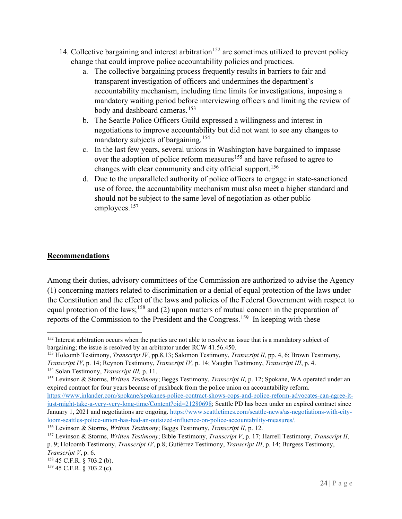- 14. Collective bargaining and interest arbitration<sup>[152](#page-24-1)</sup> are sometimes utilized to prevent policy change that could improve police accountability policies and practices.
	- a. The collective bargaining process frequently results in barriers to fair and transparent investigation of officers and undermines the department's accountability mechanism, including time limits for investigations, imposing a mandatory waiting period before interviewing officers and limiting the review of body and dashboard cameras. [153](#page-24-2)
	- b. The Seattle Police Officers Guild expressed a willingness and interest in negotiations to improve accountability but did not want to see any changes to mandatory subjects of bargaining.<sup>[154](#page-24-3)</sup>
	- c. In the last few years, several unions in Washington have bargained to impasse over the adoption of police reform measures<sup>[155](#page-24-4)</sup> and have refused to agree to changes with clear community and city official support.<sup>[156](#page-24-5)</sup>
	- d. Due to the unparalleled authority of police officers to engage in state-sanctioned use of force, the accountability mechanism must also meet a higher standard and should not be subject to the same level of negotiation as other public employees.<sup>[157](#page-24-6)</sup>

#### <span id="page-24-0"></span>**Recommendations**

Among their duties, advisory committees of the Commission are authorized to advise the Agency (1) concerning matters related to discrimination or a denial of equal protection of the laws under the Constitution and the effect of the laws and policies of the Federal Government with respect to equal protection of the laws;<sup>[158](#page-24-7)</sup> and (2) upon matters of mutual concern in the preparation of reports of the Commission to the President and the Congress.<sup>159</sup> In keeping with these

<span id="page-24-1"></span><sup>&</sup>lt;sup>152</sup> Interest arbitration occurs when the parties are not able to resolve an issue that is a mandatory subject of bargaining; the issue is resolved by an arbitrator under RCW 41.56.450.

<span id="page-24-2"></span><sup>153</sup> Holcomb Testimony, *Transcript IV*, pp.8,13; Salomon Testimony, *Transcript II,* pp. 4, 6; Brown Testimony, *Transcript IV*, p. 14; Reynon Testimony, *Transcript IV,* p. 14; Vaughn Testimony, *Transcript III*, p. 4. <sup>154</sup> Solan Testimony, *Transcript III,* p. 11.

<span id="page-24-4"></span><span id="page-24-3"></span><sup>155</sup> Levinson & Storms, *Written Testimony*; Beggs Testimony, *Transcript II,* p. 12; Spokane, WA operated under an expired contract for four years because of pushback from the police union on accountability reform.

[https://www.inlander.com/spokane/spokanes-police-contract-shows-cops-and-police-reform-advocates-can-agree-it](https://www.inlander.com/spokane/spokanes-police-contract-shows-cops-and-police-reform-advocates-can-agree-it-just-might-take-a-very-very-long-time/Content?oid=21280698)[just-might-take-a-very-very-long-time/Content?oid=21280698;](https://www.inlander.com/spokane/spokanes-police-contract-shows-cops-and-police-reform-advocates-can-agree-it-just-might-take-a-very-very-long-time/Content?oid=21280698) Seattle PD has been under an expired contract since January 1, 2021 and negotiations are ongoing. [https://www.seattletimes.com/seattle-news/as-negotiations-with-city](https://www.seattletimes.com/seattle-news/as-negotiations-with-city-loom-seattles-police-union-has-had-an-outsized-influence-on-police-accountability-measures/)[loom-seattles-police-union-has-had-an-outsized-influence-on-police-accountability-measures/.](https://www.seattletimes.com/seattle-news/as-negotiations-with-city-loom-seattles-police-union-has-had-an-outsized-influence-on-police-accountability-measures/) 156 Levinson & Storms, *Written Testimony*; Beggs Testimony, *Transcript II,* p. 12.

<span id="page-24-5"></span>

<span id="page-24-6"></span><sup>157</sup> Levinson & Storms, *Written Testimony*; Bible Testimony, *Transcript V*, p. 17; Harrell Testimony, *Transcript II*, p. 9; Holcomb Testimony, *Transcript IV*, p.8; Gutiérrez Testimony, *Transcript III*, p. 14; Burgess Testimony, *Transcript V*, p. 6.

<span id="page-24-7"></span><sup>158</sup> 45 C.F.R. § 703.2 (b).

<span id="page-24-8"></span><sup>159</sup> 45 C.F.R. § 703.2 (c).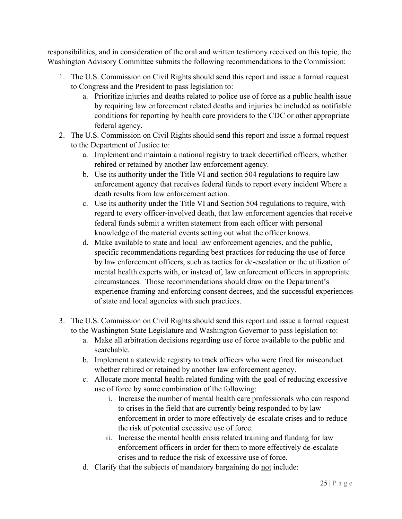responsibilities, and in consideration of the oral and written testimony received on this topic, the Washington Advisory Committee submits the following recommendations to the Commission:

- 1. The U.S. Commission on Civil Rights should send this report and issue a formal request to Congress and the President to pass legislation to:
	- a. Prioritize injuries and deaths related to police use of force as a public health issue by requiring law enforcement related deaths and injuries be included as notifiable conditions for reporting by health care providers to the CDC or other appropriate federal agency.
- 2. The U.S. Commission on Civil Rights should send this report and issue a formal request to the Department of Justice to:
	- a. Implement and maintain a national registry to track decertified officers, whether rehired or retained by another law enforcement agency.
	- b. Use its authority under the Title VI and section 504 regulations to require law enforcement agency that receives federal funds to report every incident Where a death results from law enforcement action.
	- c. Use its authority under the Title VI and Section 504 regulations to require, with regard to every officer-involved death, that law enforcement agencies that receive federal funds submit a written statement from each officer with personal knowledge of the material events setting out what the officer knows.
	- d. Make available to state and local law enforcement agencies, and the public, specific recommendations regarding best practices for reducing the use of force by law enforcement officers, such as tactics for de-escalation or the utilization of mental health experts with, or instead of, law enforcement officers in appropriate circumstances. Those recommendations should draw on the Department's experience framing and enforcing consent decrees, and the successful experiences of state and local agencies with such practices.
- 3. The U.S. Commission on Civil Rights should send this report and issue a formal request to the Washington State Legislature and Washington Governor to pass legislation to:
	- a. Make all arbitration decisions regarding use of force available to the public and searchable.
	- b. Implement a statewide registry to track officers who were fired for misconduct whether rehired or retained by another law enforcement agency.
	- c. Allocate more mental health related funding with the goal of reducing excessive use of force by some combination of the following:
		- i. Increase the number of mental health care professionals who can respond to crises in the field that are currently being responded to by law enforcement in order to more effectively de-escalate crises and to reduce the risk of potential excessive use of force.
		- ii. Increase the mental health crisis related training and funding for law enforcement officers in order for them to more effectively de-escalate crises and to reduce the risk of excessive use of force.
	- d. Clarify that the subjects of mandatory bargaining do not include: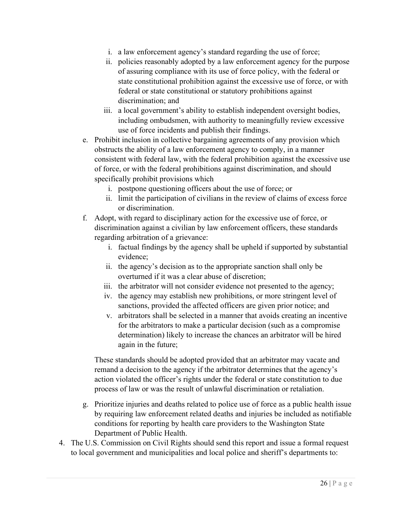- i. a law enforcement agency's standard regarding the use of force;
- ii. policies reasonably adopted by a law enforcement agency for the purpose of assuring compliance with its use of force policy, with the federal or state constitutional prohibition against the excessive use of force, or with federal or state constitutional or statutory prohibitions against discrimination; and
- iii. a local government's ability to establish independent oversight bodies, including ombudsmen, with authority to meaningfully review excessive use of force incidents and publish their findings.
- e. Prohibit inclusion in collective bargaining agreements of any provision which obstructs the ability of a law enforcement agency to comply, in a manner consistent with federal law, with the federal prohibition against the excessive use of force, or with the federal prohibitions against discrimination, and should specifically prohibit provisions which
	- i. postpone questioning officers about the use of force; or
	- ii. limit the participation of civilians in the review of claims of excess force or discrimination.
- f. Adopt, with regard to disciplinary action for the excessive use of force, or discrimination against a civilian by law enforcement officers, these standards regarding arbitration of a grievance:
	- i. factual findings by the agency shall be upheld if supported by substantial evidence;
	- ii. the agency's decision as to the appropriate sanction shall only be overturned if it was a clear abuse of discretion;
	- iii. the arbitrator will not consider evidence not presented to the agency;
	- iv. the agency may establish new prohibitions, or more stringent level of sanctions, provided the affected officers are given prior notice; and
	- v. arbitrators shall be selected in a manner that avoids creating an incentive for the arbitrators to make a particular decision (such as a compromise determination) likely to increase the chances an arbitrator will be hired again in the future;

These standards should be adopted provided that an arbitrator may vacate and remand a decision to the agency if the arbitrator determines that the agency's action violated the officer's rights under the federal or state constitution to due process of law or was the result of unlawful discrimination or retaliation.

- g. Prioritize injuries and deaths related to police use of force as a public health issue by requiring law enforcement related deaths and injuries be included as notifiable conditions for reporting by health care providers to the Washington State Department of Public Health.
- 4. The U.S. Commission on Civil Rights should send this report and issue a formal request to local government and municipalities and local police and sheriff's departments to: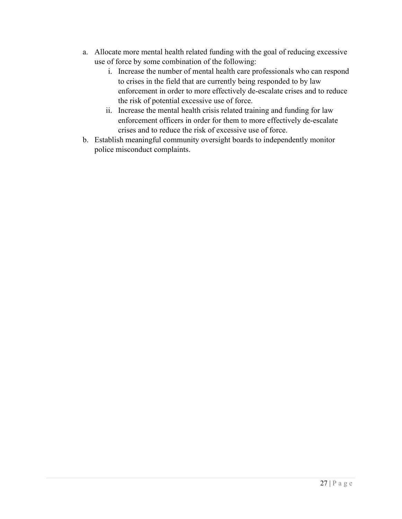- a. Allocate more mental health related funding with the goal of reducing excessive use of force by some combination of the following:
	- i. Increase the number of mental health care professionals who can respond to crises in the field that are currently being responded to by law enforcement in order to more effectively de-escalate crises and to reduce the risk of potential excessive use of force.
	- ii. Increase the mental health crisis related training and funding for law enforcement officers in order for them to more effectively de-escalate crises and to reduce the risk of excessive use of force.
- b. Establish meaningful community oversight boards to independently monitor police misconduct complaints.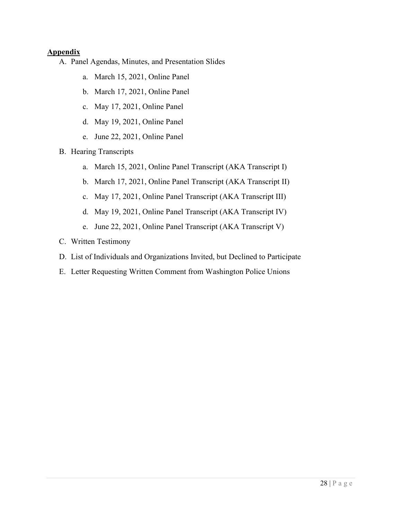#### <span id="page-28-0"></span>**Appendix**

- A. Panel Agendas, Minutes, and Presentation Slides
	- a. March 15, 2021, Online Panel
	- b. March 17, 2021, Online Panel
	- c. May 17, 2021, Online Panel
	- d. May 19, 2021, Online Panel
	- e. June 22, 2021, Online Panel
- B. Hearing Transcripts
	- a. March 15, 2021, Online Panel Transcript (AKA Transcript I)
	- b. March 17, 2021, Online Panel Transcript (AKA Transcript II)
	- c. May 17, 2021, Online Panel Transcript (AKA Transcript III)
	- d. May 19, 2021, Online Panel Transcript (AKA Transcript IV)
	- e. June 22, 2021, Online Panel Transcript (AKA Transcript V)
- C. Written Testimony
- D. List of Individuals and Organizations Invited, but Declined to Participate
- E. Letter Requesting Written Comment from Washington Police Unions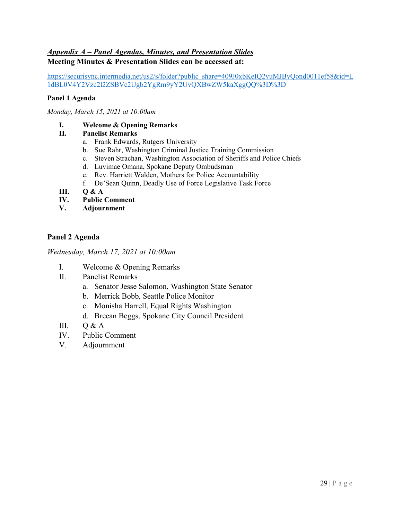#### <span id="page-29-0"></span>*Appendix A – Panel Agendas, Minutes, and Presentation Slides* **Meeting Minutes & Presentation Slides can be accessed at:**

[https://securisync.intermedia.net/us2/s/folder?public\\_share=409J0xbKeIQ2vuMJBvQond0011ef58&id=L](https://securisync.intermedia.net/us2/s/folder?public_share=409J0xbKeIQ2vuMJBvQond0011ef58&id=L1dBL0V4Y2Vzc2l2ZSBVc2Ugb2YgRm9yY2UvQXBwZW5kaXggQQ%3D%3D) [1dBL0V4Y2Vzc2l2ZSBVc2Ugb2YgRm9yY2UvQXBwZW5kaXggQQ%3D%3D](https://securisync.intermedia.net/us2/s/folder?public_share=409J0xbKeIQ2vuMJBvQond0011ef58&id=L1dBL0V4Y2Vzc2l2ZSBVc2Ugb2YgRm9yY2UvQXBwZW5kaXggQQ%3D%3D)

#### **Panel 1 Agenda**

*Monday, March 15, 2021 at 10:00am*

#### **I. Welcome & Opening Remarks**

#### **II. Panelist Remarks**

- a. Frank Edwards, Rutgers University
- b. Sue Rahr, Washington Criminal Justice Training Commission
- c. Steven Strachan, Washington Association of Sheriffs and Police Chiefs
- d. Luvimae Omana, Spokane Deputy Ombudsman
- e. Rev. Harriett Walden, Mothers for Police Accountability
- f. De'Sean Quinn, Deadly Use of Force Legislative Task Force
- **III. Q & A**
- **IV. Public Comment**
- **V. Adjournment**

#### **Panel 2 Agenda**

*Wednesday, March 17, 2021 at 10:00am* 

- I. Welcome & Opening Remarks
- II. Panelist Remarks
	- a. Senator Jesse Salomon, Washington State Senator
	- b. Merrick Bobb, Seattle Police Monitor
	- c. Monisha Harrell, Equal Rights Washington
	- d. Breean Beggs, Spokane City Council President
- III.  $O & A$
- IV. Public Comment
- V. Adjournment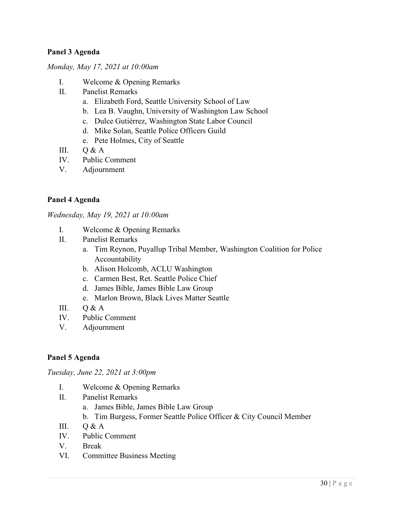#### **Panel 3 Agenda**

*Monday, May 17, 2021 at 10:00am* 

- I. Welcome & Opening Remarks
- II. Panelist Remarks
	- a. Elizabeth Ford, Seattle University School of Law
	- b. Lea B. Vaughn, University of Washington Law School
	- c. Dulce Gutiérrez, Washington State Labor Council
	- d. Mike Solan, Seattle Police Officers Guild
	- e. Pete Holmes, City of Seattle
- III.  $O & A$
- IV. Public Comment
- V. Adjournment

#### **Panel 4 Agenda**

*Wednesday, May 19, 2021 at 10:00am*

- I. Welcome & Opening Remarks
- II. Panelist Remarks
	- a. Tim Reynon, Puyallup Tribal Member, Washington Coalition for Police Accountability
	- b. Alison Holcomb, ACLU Washington
	- c. Carmen Best, Ret. Seattle Police Chief
	- d. James Bible, James Bible Law Group
	- e. Marlon Brown, Black Lives Matter Seattle
- III.  $O & A$
- IV. Public Comment
- V. Adjournment

#### **Panel 5 Agenda**

*Tuesday, June 22, 2021 at 3:00pm* 

- I. Welcome & Opening Remarks
- II. Panelist Remarks
	- a. James Bible, James Bible Law Group
	- b. Tim Burgess, Former Seattle Police Officer & City Council Member
- III.  $O & A$
- IV. Public Comment
- V. Break
- VI. Committee Business Meeting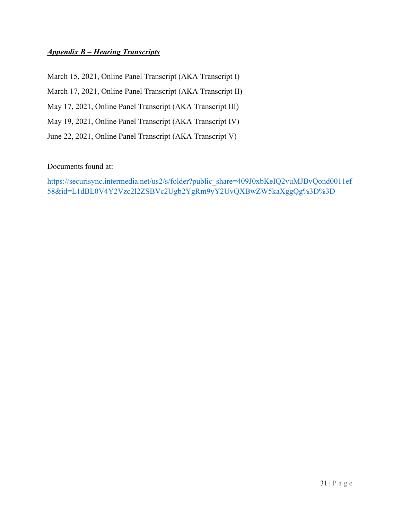#### <span id="page-31-0"></span>*Appendix B – Hearing Transcripts*

March 15, 2021, Online Panel Transcript (AKA Transcript I)

March 17, 2021, Online Panel Transcript (AKA Transcript II)

May 17, 2021, Online Panel Transcript (AKA Transcript III)

May 19, 2021, Online Panel Transcript (AKA Transcript IV)

June 22, 2021, Online Panel Transcript (AKA Transcript V)

Documents found at:

[https://securisync.intermedia.net/us2/s/folder?public\\_share=409J0xbKeIQ2vuMJBvQond0011ef](https://securisync.intermedia.net/us2/s/folder?public_share=409J0xbKeIQ2vuMJBvQond0011ef58&id=L1dBL0V4Y2Vzc2l2ZSBVc2Ugb2YgRm9yY2UvQXBwZW5kaXggQg%3D%3D) [58&id=L1dBL0V4Y2Vzc2l2ZSBVc2Ugb2YgRm9yY2UvQXBwZW5kaXggQg%3D%3D](https://securisync.intermedia.net/us2/s/folder?public_share=409J0xbKeIQ2vuMJBvQond0011ef58&id=L1dBL0V4Y2Vzc2l2ZSBVc2Ugb2YgRm9yY2UvQXBwZW5kaXggQg%3D%3D)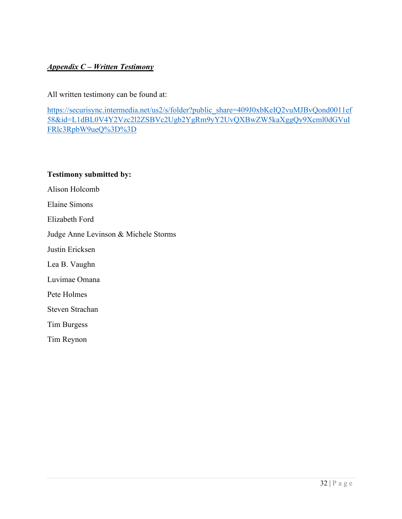#### <span id="page-32-0"></span>*Appendix C – Written Testimony*

All written testimony can be found at:

[https://securisync.intermedia.net/us2/s/folder?public\\_share=409J0xbKeIQ2vuMJBvQond0011ef](https://securisync.intermedia.net/us2/s/folder?public_share=409J0xbKeIQ2vuMJBvQond0011ef58&id=L1dBL0V4Y2Vzc2l2ZSBVc2Ugb2YgRm9yY2UvQXBwZW5kaXggQy9Xcml0dGVuIFRlc3RpbW9ueQ%3D%3D) [58&id=L1dBL0V4Y2Vzc2l2ZSBVc2Ugb2YgRm9yY2UvQXBwZW5kaXggQy9Xcml0dGVuI](https://securisync.intermedia.net/us2/s/folder?public_share=409J0xbKeIQ2vuMJBvQond0011ef58&id=L1dBL0V4Y2Vzc2l2ZSBVc2Ugb2YgRm9yY2UvQXBwZW5kaXggQy9Xcml0dGVuIFRlc3RpbW9ueQ%3D%3D) [FRlc3RpbW9ueQ%3D%3D](https://securisync.intermedia.net/us2/s/folder?public_share=409J0xbKeIQ2vuMJBvQond0011ef58&id=L1dBL0V4Y2Vzc2l2ZSBVc2Ugb2YgRm9yY2UvQXBwZW5kaXggQy9Xcml0dGVuIFRlc3RpbW9ueQ%3D%3D)

#### **Testimony submitted by:**

Alison Holcomb

Elaine Simons

Elizabeth Ford

Judge Anne Levinson & Michele Storms

Justin Ericksen

Lea B. Vaughn

Luvimae Omana

Pete Holmes

Steven Strachan

Tim Burgess

Tim Reynon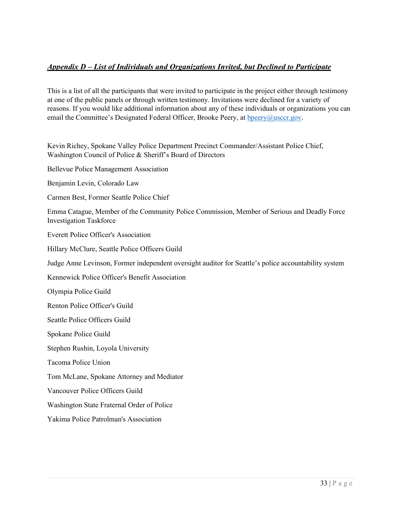#### <span id="page-33-0"></span>*Appendix D – List of Individuals and Organizations Invited, but Declined to Participate*

This is a list of all the participants that were invited to participate in the project either through testimony at one of the public panels or through written testimony. Invitations were declined for a variety of reasons. If you would like additional information about any of these individuals or organizations you can email the Committee's Designated Federal Officer, Brooke Peery, at [bpeery@usccr.gov.](mailto:bpeery@usccr.gov)

Kevin Richey, Spokane Valley Police Department Precinct Commander/Assistant Police Chief, Washington Council of Police & Sheriff's Board of Directors

Bellevue Police Management Association

Benjamin Levin, Colorado Law

Carmen Best, Former Seattle Police Chief

Emma Catague, Member of the Community Police Commission, Member of Serious and Deadly Force Investigation Taskforce

Everett Police Officer's Association

Hillary McClure, Seattle Police Officers Guild

Judge Anne Levinson, Former independent oversight auditor for Seattle's police accountability system

Kennewick Police Officer's Benefit Association

Olympia Police Guild

Renton Police Officer's Guild

Seattle Police Officers Guild

Spokane Police Guild

Stephen Rushin, Loyola University

Tacoma Police Union

Tom McLane, Spokane Attorney and Mediator

Vancouver Police Officers Guild

Washington State Fraternal Order of Police

Yakima Police Patrolman's Association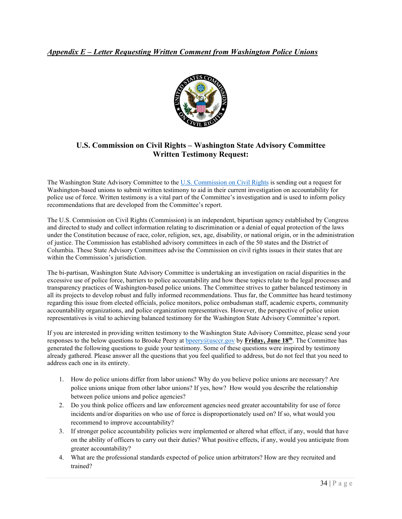#### <span id="page-34-0"></span>*Appendix E – Letter Requesting Written Comment from Washington Police Unions*



#### **U.S. Commission on Civil Rights – Washington State Advisory Committee Written Testimony Request:**

The Washington State Advisory Committee to the [U.S. Commission on Civil Rights](https://www.usccr.gov/about/index.php) is sending out a request for Washington-based unions to submit written testimony to aid in their current investigation on accountability for police use of force. Written testimony is a vital part of the Committee's investigation and is used to inform policy recommendations that are developed from the Committee's report.

The U.S. Commission on Civil Rights (Commission) is an independent, bipartisan agency established by Congress and directed to study and collect information relating to discrimination or a denial of equal protection of the laws under the Constitution because of race, color, religion, sex, age, disability, or national origin, or in the administration of justice. The Commission has established advisory committees in each of the 50 states and the District of Columbia. These State Advisory Committees advise the Commission on civil rights issues in their states that are within the Commission's jurisdiction.

The bi-partisan, Washington State Advisory Committee is undertaking an investigation on racial disparities in the excessive use of police force, barriers to police accountability and how these topics relate to the legal processes and transparency practices of Washington-based police unions. The Committee strives to gather balanced testimony in all its projects to develop robust and fully informed recommendations. Thus far, the Committee has heard testimony regarding this issue from elected officials, police monitors, police ombudsman staff, academic experts, community accountability organizations, and police organization representatives. However, the perspective of police union representatives is vital to achieving balanced testimony for the Washington State Advisory Committee's report.

If you are interested in providing written testimony to the Washington State Advisory Committee, please send your responses to the below questions to Brooke Peery at [bpeery@usccr.gov](mailto:bpeery@usccr.gov) by **Friday, June 18th**. The Committee has generated the following questions to guide your testimony. Some of these questions were inspired by testimony already gathered. Please answer all the questions that you feel qualified to address, but do not feel that you need to address each one in its entirety.

- 1. How do police unions differ from labor unions? Why do you believe police unions are necessary? Are police unions unique from other labor unions? If yes, how? How would you describe the relationship between police unions and police agencies?
- 2. Do you think police officers and law enforcement agencies need greater accountability for use of force incidents and/or disparities on who use of force is disproportionately used on? If so, what would you recommend to improve accountability?
- 3. If stronger police accountability policies were implemented or altered what effect, if any, would that have on the ability of officers to carry out their duties? What positive effects, if any, would you anticipate from greater accountability?
- 4. What are the professional standards expected of police union arbitrators? How are they recruited and trained?